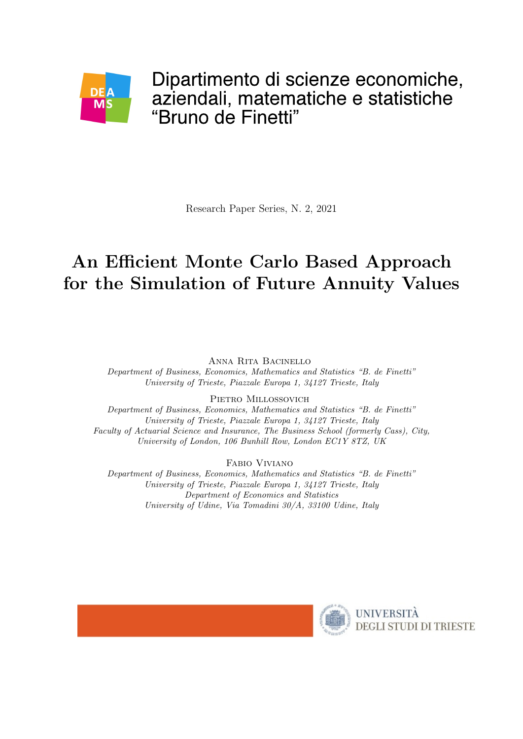

Research Paper Series, N. 2, 2021

# An Efficient Monte Carlo Based Approach for the Simulation of Future Annuity Values

Anna Rita Bacinello Department of Business, Economics, Mathematics and Statistics "B. de Finetti" University of Trieste, Piazzale Europa 1, 34127 Trieste, Italy

PIETRO MILLOSSOVICH

Department of Business, Economics, Mathematics and Statistics "B. de Finetti" University of Trieste, Piazzale Europa 1, 34127 Trieste, Italy Faculty of Actuarial Science and Insurance, The Business School (formerly Cass), City, University of London, 106 Bunhill Row, London EC1Y 8TZ, UK

Fabio Viviano

Department of Business, Economics, Mathematics and Statistics "B. de Finetti" University of Trieste, Piazzale Europa 1, 34127 Trieste, Italy Department of Economics and Statistics University of Udine, Via Tomadini 30/A, 33100 Udine, Italy

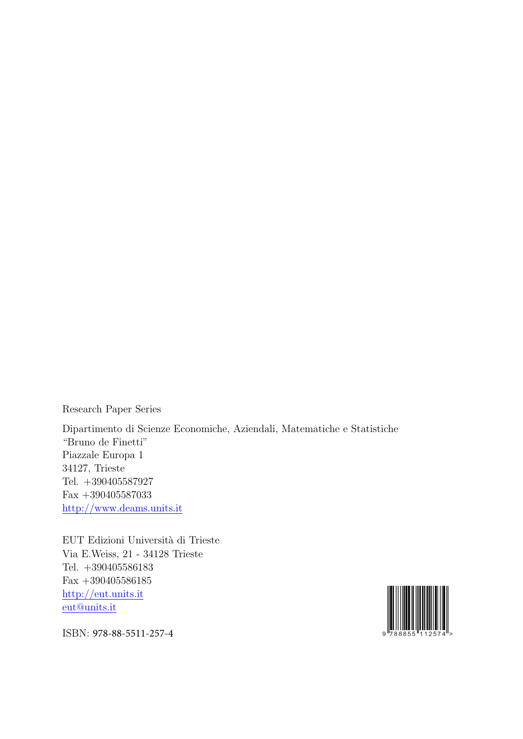Research Paper Series

Dipartimento di Scienze Economiche, Aziendali, Matematiche e Statistiche "Bruno de Finetti" Piazzale Europa 1 34127, Trieste Tel. +390405587927 Fax +390405587033 http://www.deams.units.it

EUT Edizioni Università di Trieste Via E.Weiss, 21 - 34128 Trieste Tel. +390405586183 Fax +390405586185 http://eut.units.it eut@units.it



ISBN: 978-88-5511-257-4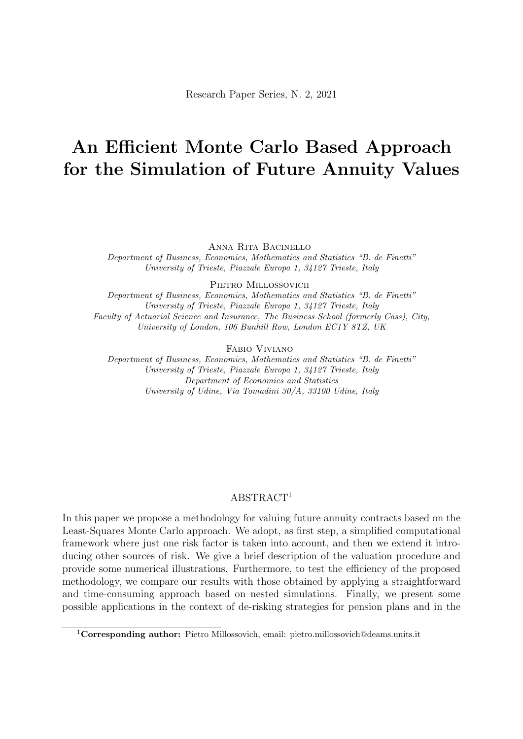# An Efficient Monte Carlo Based Approach for the Simulation of Future Annuity Values

Anna Rita Bacinello

Department of Business, Economics, Mathematics and Statistics "B. de Finetti" University of Trieste, Piazzale Europa 1, 34127 Trieste, Italy

PIETRO MILLOSSOVICH

Department of Business, Economics, Mathematics and Statistics "B. de Finetti" University of Trieste, Piazzale Europa 1, 34127 Trieste, Italy Faculty of Actuarial Science and Insurance, The Business School (formerly Cass), City, University of London, 106 Bunhill Row, London EC1Y 8TZ, UK

Fabio Viviano

Department of Business, Economics, Mathematics and Statistics "B. de Finetti" University of Trieste, Piazzale Europa 1, 34127 Trieste, Italy Department of Economics and Statistics University of Udine, Via Tomadini 30/A, 33100 Udine, Italy

#### ABSTRACT<sup>1</sup>

In this paper we propose a methodology for valuing future annuity contracts based on the Least-Squares Monte Carlo approach. We adopt, as first step, a simplified computational framework where just one risk factor is taken into account, and then we extend it introducing other sources of risk. We give a brief description of the valuation procedure and provide some numerical illustrations. Furthermore, to test the efficiency of the proposed methodology, we compare our results with those obtained by applying a straightforward and time-consuming approach based on nested simulations. Finally, we present some possible applications in the context of de-risking strategies for pension plans and in the

<sup>&</sup>lt;sup>1</sup>Corresponding author: Pietro Millossovich, email: pietro.millossovich@deams.units.it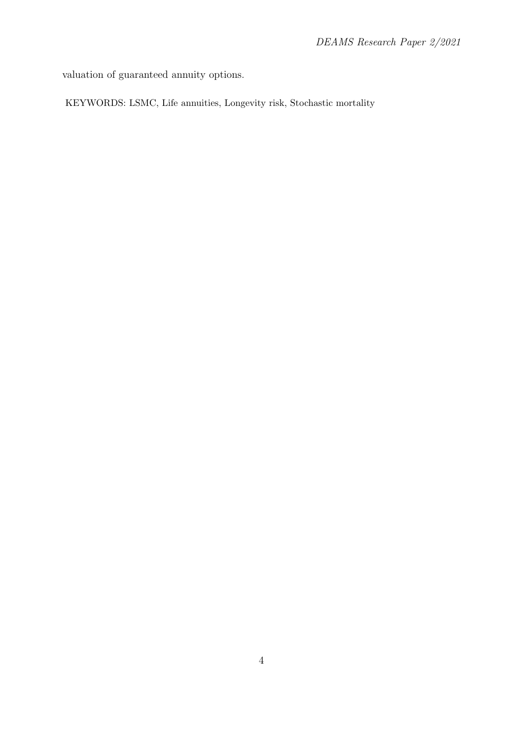valuation of guaranteed annuity options.

KEYWORDS: LSMC, Life annuities, Longevity risk, Stochastic mortality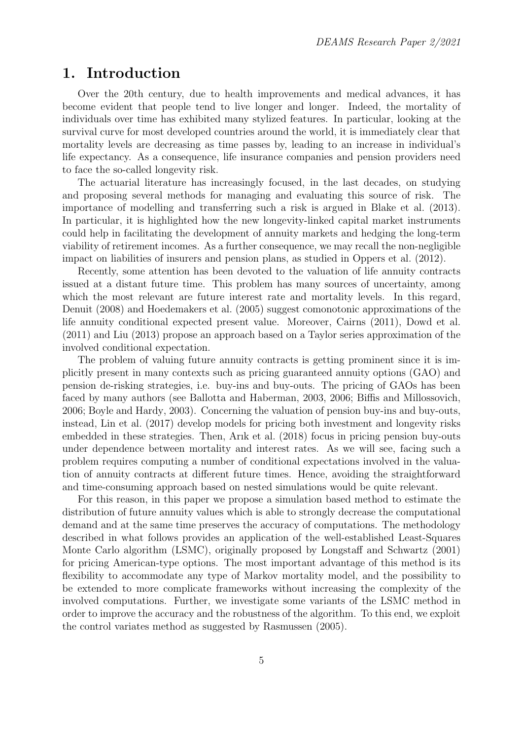### 1. Introduction

Over the 20th century, due to health improvements and medical advances, it has become evident that people tend to live longer and longer. Indeed, the mortality of individuals over time has exhibited many stylized features. In particular, looking at the survival curve for most developed countries around the world, it is immediately clear that mortality levels are decreasing as time passes by, leading to an increase in individual's life expectancy. As a consequence, life insurance companies and pension providers need to face the so-called longevity risk.

The actuarial literature has increasingly focused, in the last decades, on studying and proposing several methods for managing and evaluating this source of risk. The importance of modelling and transferring such a risk is argued in Blake et al. (2013). In particular, it is highlighted how the new longevity-linked capital market instruments could help in facilitating the development of annuity markets and hedging the long-term viability of retirement incomes. As a further consequence, we may recall the non-negligible impact on liabilities of insurers and pension plans, as studied in Oppers et al. (2012).

Recently, some attention has been devoted to the valuation of life annuity contracts issued at a distant future time. This problem has many sources of uncertainty, among which the most relevant are future interest rate and mortality levels. In this regard, Denuit (2008) and Hoedemakers et al. (2005) suggest comonotonic approximations of the life annuity conditional expected present value. Moreover, Cairns (2011), Dowd et al. (2011) and Liu (2013) propose an approach based on a Taylor series approximation of the involved conditional expectation.

The problem of valuing future annuity contracts is getting prominent since it is implicitly present in many contexts such as pricing guaranteed annuity options (GAO) and pension de-risking strategies, i.e. buy-ins and buy-outs. The pricing of GAOs has been faced by many authors (see Ballotta and Haberman, 2003, 2006; Biffis and Millossovich, 2006; Boyle and Hardy, 2003). Concerning the valuation of pension buy-ins and buy-outs, instead, Lin et al. (2017) develop models for pricing both investment and longevity risks embedded in these strategies. Then, Arık et al. (2018) focus in pricing pension buy-outs under dependence between mortality and interest rates. As we will see, facing such a problem requires computing a number of conditional expectations involved in the valuation of annuity contracts at different future times. Hence, avoiding the straightforward and time-consuming approach based on nested simulations would be quite relevant.

For this reason, in this paper we propose a simulation based method to estimate the distribution of future annuity values which is able to strongly decrease the computational demand and at the same time preserves the accuracy of computations. The methodology described in what follows provides an application of the well-established Least-Squares Monte Carlo algorithm (LSMC), originally proposed by Longstaff and Schwartz (2001) for pricing American-type options. The most important advantage of this method is its flexibility to accommodate any type of Markov mortality model, and the possibility to be extended to more complicate frameworks without increasing the complexity of the involved computations. Further, we investigate some variants of the LSMC method in order to improve the accuracy and the robustness of the algorithm. To this end, we exploit the control variates method as suggested by Rasmussen (2005).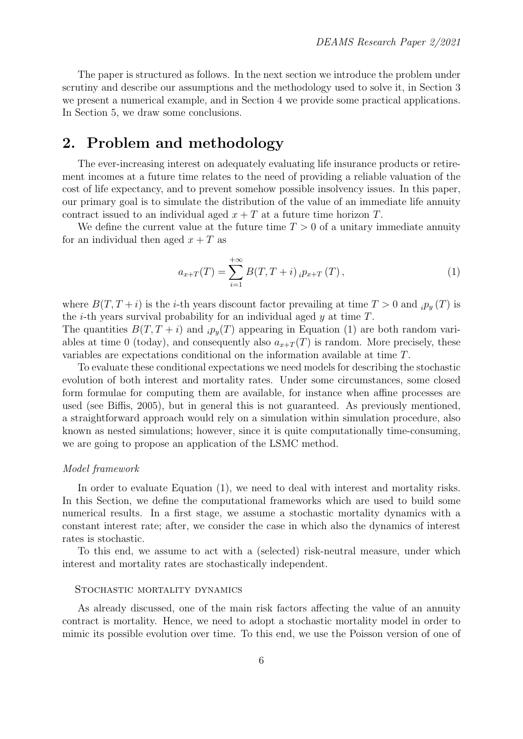The paper is structured as follows. In the next section we introduce the problem under scrutiny and describe our assumptions and the methodology used to solve it, in Section 3 we present a numerical example, and in Section 4 we provide some practical applications. In Section 5, we draw some conclusions.

## 2. Problem and methodology

The ever-increasing interest on adequately evaluating life insurance products or retirement incomes at a future time relates to the need of providing a reliable valuation of the cost of life expectancy, and to prevent somehow possible insolvency issues. In this paper, our primary goal is to simulate the distribution of the value of an immediate life annuity contract issued to an individual aged  $x + T$  at a future time horizon T.

We define the current value at the future time  $T > 0$  of a unitary immediate annuity for an individual then aged  $x + T$  as

$$
a_{x+T}(T) = \sum_{i=1}^{+\infty} B(T, T+i) \, _i p_{x+T}(T) \,, \tag{1}
$$

where  $B(T, T + i)$  is the *i*-th years discount factor prevailing at time  $T > 0$  and  $i p_y(T)$  is the *i*-th years survival probability for an individual aged  $y$  at time  $T$ .

The quantities  $B(T, T + i)$  and  $i p_y(T)$  appearing in Equation (1) are both random variables at time 0 (today), and consequently also  $a_{x+T}(T)$  is random. More precisely, these variables are expectations conditional on the information available at time T.

To evaluate these conditional expectations we need models for describing the stochastic evolution of both interest and mortality rates. Under some circumstances, some closed form formulae for computing them are available, for instance when affine processes are used (see Biffis, 2005), but in general this is not guaranteed. As previously mentioned, a straightforward approach would rely on a simulation within simulation procedure, also known as nested simulations; however, since it is quite computationally time-consuming, we are going to propose an application of the LSMC method.

#### Model framework

In order to evaluate Equation (1), we need to deal with interest and mortality risks. In this Section, we define the computational frameworks which are used to build some numerical results. In a first stage, we assume a stochastic mortality dynamics with a constant interest rate; after, we consider the case in which also the dynamics of interest rates is stochastic.

To this end, we assume to act with a (selected) risk-neutral measure, under which interest and mortality rates are stochastically independent.

#### Stochastic mortality dynamics

As already discussed, one of the main risk factors affecting the value of an annuity contract is mortality. Hence, we need to adopt a stochastic mortality model in order to mimic its possible evolution over time. To this end, we use the Poisson version of one of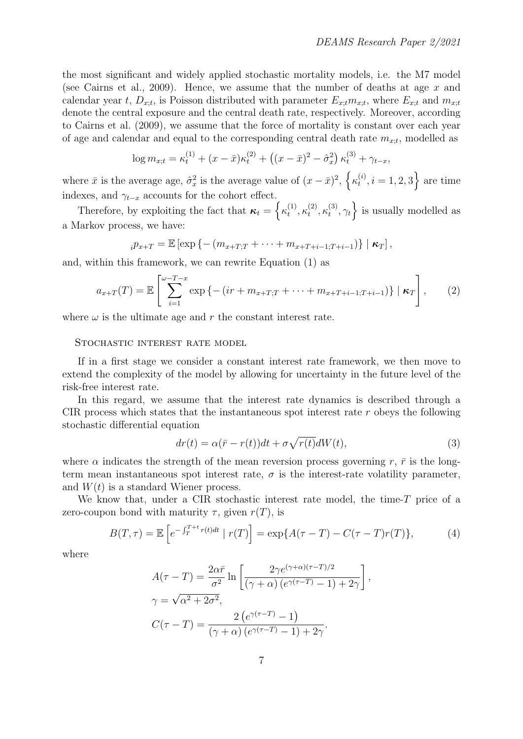the most significant and widely applied stochastic mortality models, i.e. the M7 model (see Cairns et al., 2009). Hence, we assume that the number of deaths at age  $x$  and calendar year t,  $D_{x;t}$ , is Poisson distributed with parameter  $E_{x;t}$ , where  $E_{x;t}$  and  $m_{x;t}$ denote the central exposure and the central death rate, respectively. Moreover, according to Cairns et al. (2009), we assume that the force of mortality is constant over each year of age and calendar and equal to the corresponding central death rate  $m_{x;t}$ , modelled as

$$
\log m_{x;t} = \kappa_t^{(1)} + (x - \bar{x})\kappa_t^{(2)} + ((x - \bar{x})^2 - \hat{\sigma}_x^2)\kappa_t^{(3)} + \gamma_{t-x},
$$

where  $\bar{x}$  is the average age,  $\hat{\sigma}_x^2$  is the average value of  $(x - \bar{x})^2$ ,  $\left\{\kappa_t^{(i)}\right\}$  $t_i^{(i)}, i = 1, 2, 3$  are time indexes, and  $\gamma_{t-x}$  accounts for the cohort effect.

Therefore, by exploiting the fact that  $\kappa_t = \left\{ \kappa_t^{(1)} \right\}$  $t^{(1)}, \kappa_t^{(2)}$  $\mathcal{L}_t^{(2)}, \mathcal{K}_t^{(3)}$  $\{\xi_t^{(3)}, \gamma_t\}$  is usually modelled as a Markov process, we have:

$$
{}_{i}p_{x+T}=\mathbb{E}\left[\exp\left\{-\left(m_{x+T;T}+\cdots+m_{x+T+i-1;T+i-1}\right)\right\}\mid\mathbf{\kappa}_T\right],
$$

and, within this framework, we can rewrite Equation (1) as

$$
a_{x+T}(T) = \mathbb{E}\left[\sum_{i=1}^{\omega-T-x} \exp\left\{-\left(ir+m_{x+T,T}+\cdots+m_{x+T+i-1,T+i-1}\right)\right\} \mid \boldsymbol{\kappa}_T\right],\qquad(2)
$$

where  $\omega$  is the ultimate age and r the constant interest rate.

#### STOCHASTIC INTEREST RATE MODEL

If in a first stage we consider a constant interest rate framework, we then move to extend the complexity of the model by allowing for uncertainty in the future level of the risk-free interest rate.

In this regard, we assume that the interest rate dynamics is described through a CIR process which states that the instantaneous spot interest rate  $r$  obeys the following stochastic differential equation

$$
dr(t) = \alpha(\bar{r} - r(t))dt + \sigma \sqrt{r(t)}dW(t),
$$
\n(3)

where  $\alpha$  indicates the strength of the mean reversion process governing r,  $\bar{r}$  is the longterm mean instantaneous spot interest rate,  $\sigma$  is the interest-rate volatility parameter, and  $W(t)$  is a standard Wiener process.

We know that, under a CIR stochastic interest rate model, the time- $T$  price of a zero-coupon bond with maturity  $\tau$ , given  $r(T)$ , is

$$
B(T,\tau) = \mathbb{E}\left[e^{-\int_T^{T+t} r(t)dt} \mid r(T)\right] = \exp\{A(\tau - T) - C(\tau - T)r(T)\},\tag{4}
$$

where

$$
A(\tau - T) = \frac{2\alpha\bar{r}}{\sigma^2} \ln \left[ \frac{2\gamma e^{(\gamma + \alpha)(\tau - T)/2}}{(\gamma + \alpha) (e^{\gamma(\tau - T)} - 1) + 2\gamma} \right],
$$
  

$$
\gamma = \sqrt{\alpha^2 + 2\sigma^2},
$$
  

$$
C(\tau - T) = \frac{2 (e^{\gamma(\tau - T)} - 1)}{(\gamma + \alpha) (e^{\gamma(\tau - T)} - 1) + 2\gamma}.
$$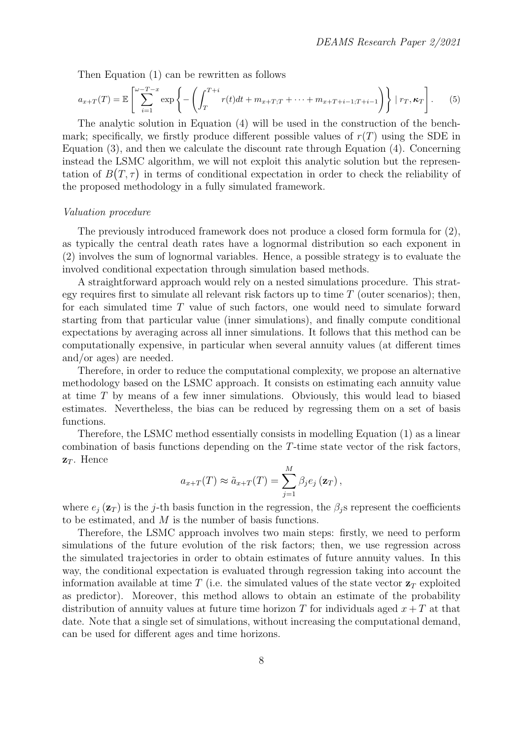Then Equation (1) can be rewritten as follows

$$
a_{x+T}(T) = \mathbb{E}\left[\sum_{i=1}^{\omega-T-x} \exp\left\{-\left(\int_{T}^{T+i} r(t)dt + m_{x+T,T} + \dots + m_{x+T+i-1,T+i-1}\right)\right\} \mid r_T, \kappa_T\right].
$$
 (5)

The analytic solution in Equation (4) will be used in the construction of the benchmark; specifically, we firstly produce different possible values of  $r(T)$  using the SDE in Equation (3), and then we calculate the discount rate through Equation (4). Concerning instead the LSMC algorithm, we will not exploit this analytic solution but the representation of  $B(T, \tau)$  in terms of conditional expectation in order to check the reliability of the proposed methodology in a fully simulated framework.

#### Valuation procedure

The previously introduced framework does not produce a closed form formula for (2), as typically the central death rates have a lognormal distribution so each exponent in (2) involves the sum of lognormal variables. Hence, a possible strategy is to evaluate the involved conditional expectation through simulation based methods.

A straightforward approach would rely on a nested simulations procedure. This strategy requires first to simulate all relevant risk factors up to time  $T$  (outer scenarios); then, for each simulated time T value of such factors, one would need to simulate forward starting from that particular value (inner simulations), and finally compute conditional expectations by averaging across all inner simulations. It follows that this method can be computationally expensive, in particular when several annuity values (at different times and/or ages) are needed.

Therefore, in order to reduce the computational complexity, we propose an alternative methodology based on the LSMC approach. It consists on estimating each annuity value at time T by means of a few inner simulations. Obviously, this would lead to biased estimates. Nevertheless, the bias can be reduced by regressing them on a set of basis functions.

Therefore, the LSMC method essentially consists in modelling Equation (1) as a linear combination of basis functions depending on the T-time state vector of the risk factors,  $z_T$ . Hence

$$
a_{x+T}(T) \approx \tilde{a}_{x+T}(T) = \sum_{j=1}^{M} \beta_j e_j (\mathbf{z}_T),
$$

where  $e_i(\mathbf{z}_T)$  is the j-th basis function in the regression, the  $\beta_i$ s represent the coefficients to be estimated, and M is the number of basis functions.

Therefore, the LSMC approach involves two main steps: firstly, we need to perform simulations of the future evolution of the risk factors; then, we use regression across the simulated trajectories in order to obtain estimates of future annuity values. In this way, the conditional expectation is evaluated through regression taking into account the information available at time T (i.e. the simulated values of the state vector  $z_T$  exploited as predictor). Moreover, this method allows to obtain an estimate of the probability distribution of annuity values at future time horizon T for individuals aged  $x + T$  at that date. Note that a single set of simulations, without increasing the computational demand, can be used for different ages and time horizons.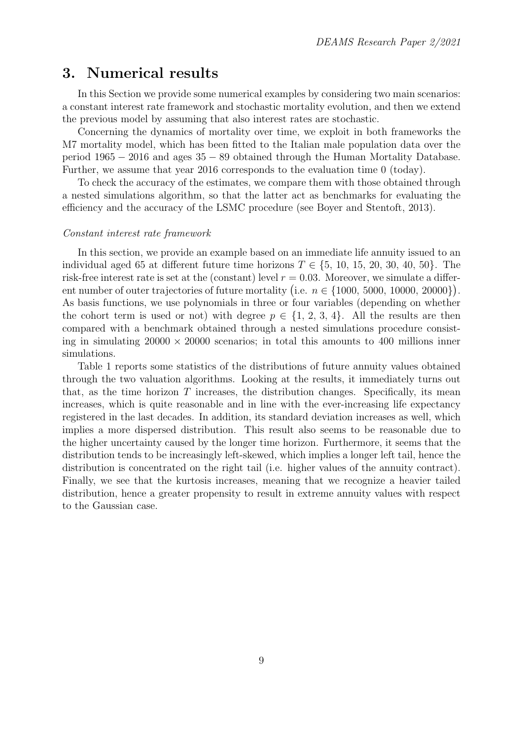## 3. Numerical results

In this Section we provide some numerical examples by considering two main scenarios: a constant interest rate framework and stochastic mortality evolution, and then we extend the previous model by assuming that also interest rates are stochastic.

Concerning the dynamics of mortality over time, we exploit in both frameworks the M7 mortality model, which has been fitted to the Italian male population data over the period 1965 − 2016 and ages 35 − 89 obtained through the Human Mortality Database. Further, we assume that year 2016 corresponds to the evaluation time 0 (today).

To check the accuracy of the estimates, we compare them with those obtained through a nested simulations algorithm, so that the latter act as benchmarks for evaluating the efficiency and the accuracy of the LSMC procedure (see Boyer and Stentoft, 2013).

#### Constant interest rate framework

In this section, we provide an example based on an immediate life annuity issued to an individual aged 65 at different future time horizons  $T \in \{5, 10, 15, 20, 30, 40, 50\}$ . The risk-free interest rate is set at the (constant) level  $r = 0.03$ . Moreover, we simulate a different number of outer trajectories of future mortality (i.e.  $n \in \{1000, 5000, 10000, 20000\}$ ). As basis functions, we use polynomials in three or four variables (depending on whether the cohort term is used or not) with degree  $p \in \{1, 2, 3, 4\}$ . All the results are then compared with a benchmark obtained through a nested simulations procedure consisting in simulating  $20000 \times 20000$  scenarios; in total this amounts to 400 millions inner simulations.

Table 1 reports some statistics of the distributions of future annuity values obtained through the two valuation algorithms. Looking at the results, it immediately turns out that, as the time horizon  $T$  increases, the distribution changes. Specifically, its mean increases, which is quite reasonable and in line with the ever-increasing life expectancy registered in the last decades. In addition, its standard deviation increases as well, which implies a more dispersed distribution. This result also seems to be reasonable due to the higher uncertainty caused by the longer time horizon. Furthermore, it seems that the distribution tends to be increasingly left-skewed, which implies a longer left tail, hence the distribution is concentrated on the right tail (i.e. higher values of the annuity contract). Finally, we see that the kurtosis increases, meaning that we recognize a heavier tailed distribution, hence a greater propensity to result in extreme annuity values with respect to the Gaussian case.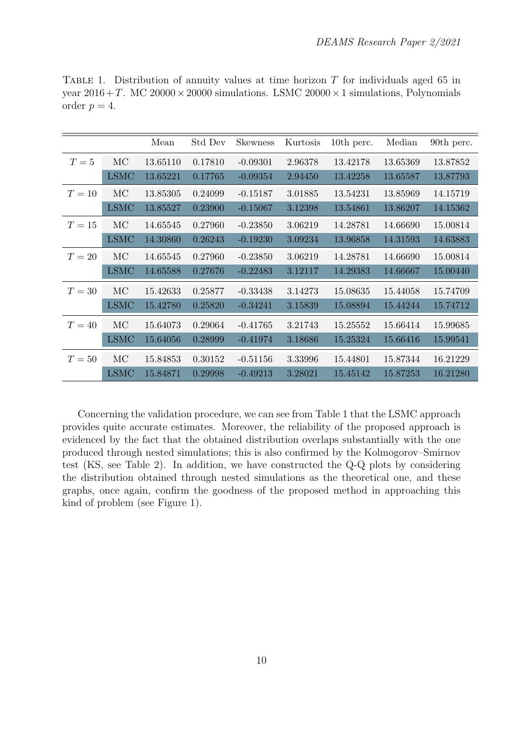|        |             | Mean     | Std Dev | <b>Skewness</b> | Kurtosis | 10th perc. | Median   | 90th perc. |
|--------|-------------|----------|---------|-----------------|----------|------------|----------|------------|
| $T=5$  | <b>MC</b>   | 13.65110 | 0.17810 | $-0.09301$      | 2.96378  | 13.42178   | 13.65369 | 13.87852   |
|        | <b>LSMC</b> | 13.65221 | 0.17765 | $-0.09354$      | 2.94450  | 13.42258   | 13.65587 | 13.87793   |
| $T=10$ | MC          | 13.85305 | 0.24099 | $-0.15187$      | 3.01885  | 13.54231   | 13.85969 | 14.15719   |
|        | <b>LSMC</b> | 13.85527 | 0.23900 | $-0.15067$      | 3.12398  | 13.54861   | 13.86207 | 14.15362   |
| $T=15$ | MC          | 14.65545 | 0.27960 | $-0.23850$      | 3.06219  | 14.28781   | 14.66690 | 15.00814   |
|        | <b>LSMC</b> | 14.30860 | 0.26243 | $-0.19230$      | 3.09234  | 13.96858   | 14.31593 | 14.63883   |
| $T=20$ | <b>MC</b>   | 14.65545 | 0.27960 | $-0.23850$      | 3.06219  | 14.28781   | 14.66690 | 15.00814   |
|        | <b>LSMC</b> | 14.65588 | 0.27676 | $-0.22483$      | 3.12117  | 14.29383   | 14.66667 | 15.00440   |
| $T=30$ | MC          | 15.42633 | 0.25877 | $-0.33438$      | 3.14273  | 15.08635   | 15.44058 | 15.74709   |
|        | <b>LSMC</b> | 15.42780 | 0.25820 | $-0.34241$      | 3.15839  | 15.08894   | 15.44244 | 15.74712   |
| $T=40$ | <b>MC</b>   | 15.64073 | 0.29064 | $-0.41765$      | 3.21743  | 15.25552   | 15.66414 | 15.99685   |
|        | <b>LSMC</b> | 15.64056 | 0.28999 | $-0.41974$      | 3.18686  | 15.25324   | 15.66416 | 15.99541   |
| $T=50$ | <b>MC</b>   | 15.84853 | 0.30152 | $-0.51156$      | 3.33996  | 15.44801   | 15.87344 | 16.21229   |
|        | <b>LSMC</b> | 15.84871 | 0.29998 | $-0.49213$      | 3.28021  | 15.45142   | 15.87253 | 16.21280   |

TABLE 1. Distribution of annuity values at time horizon  $T$  for individuals aged 65 in year  $2016 + T$ . MC  $20000 \times 20000$  simulations. LSMC  $20000 \times 1$  simulations, Polynomials order  $p = 4$ .

Concerning the validation procedure, we can see from Table 1 that the LSMC approach provides quite accurate estimates. Moreover, the reliability of the proposed approach is evidenced by the fact that the obtained distribution overlaps substantially with the one produced through nested simulations; this is also confirmed by the Kolmogorov–Smirnov test (KS, see Table 2). In addition, we have constructed the Q-Q plots by considering the distribution obtained through nested simulations as the theoretical one, and these graphs, once again, confirm the goodness of the proposed method in approaching this kind of problem (see Figure 1).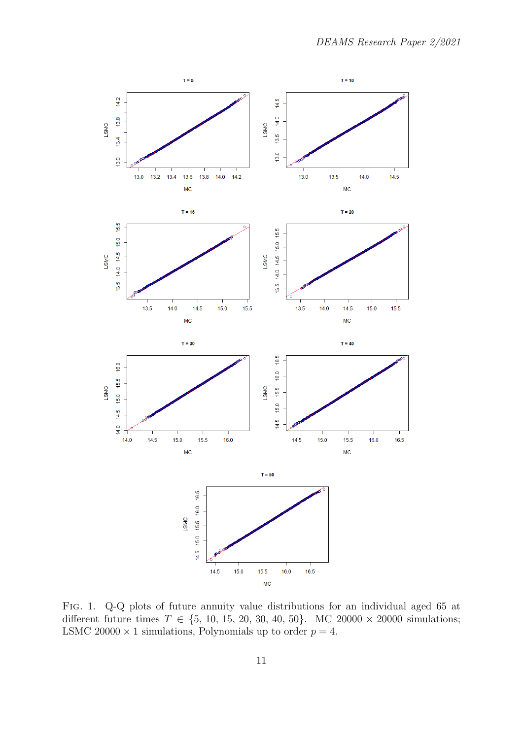

Fig. 1. Q-Q plots of future annuity value distributions for an individual aged 65 at different future times  $T \in \{5, 10, 15, 20, 30, 40, 50\}$ . MC 20000 × 20000 simulations; LSMC 20000  $\times$  1 simulations, Polynomials up to order  $p = 4$ .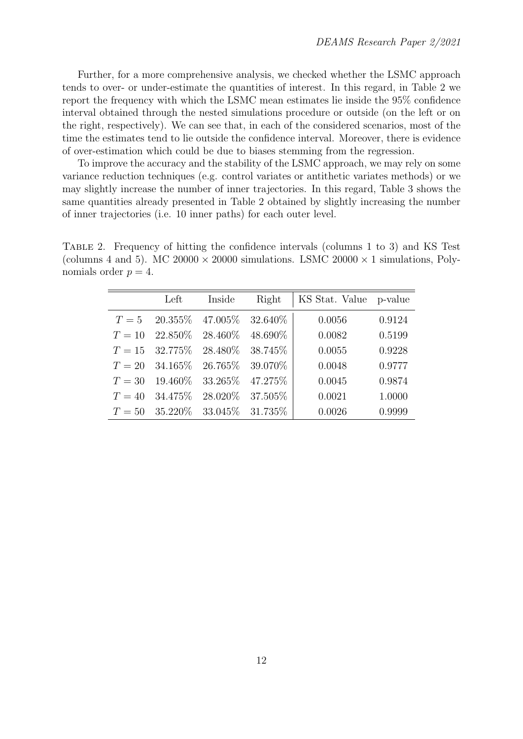Further, for a more comprehensive analysis, we checked whether the LSMC approach tends to over- or under-estimate the quantities of interest. In this regard, in Table 2 we report the frequency with which the LSMC mean estimates lie inside the 95% confidence interval obtained through the nested simulations procedure or outside (on the left or on the right, respectively). We can see that, in each of the considered scenarios, most of the time the estimates tend to lie outside the confidence interval. Moreover, there is evidence of over-estimation which could be due to biases stemming from the regression.

To improve the accuracy and the stability of the LSMC approach, we may rely on some variance reduction techniques (e.g. control variates or antithetic variates methods) or we may slightly increase the number of inner trajectories. In this regard, Table 3 shows the same quantities already presented in Table 2 obtained by slightly increasing the number of inner trajectories (i.e. 10 inner paths) for each outer level.

Table 2. Frequency of hitting the confidence intervals (columns 1 to 3) and KS Test (columns 4 and 5). MC 20000  $\times$  20000 simulations. LSMC 20000  $\times$  1 simulations, Polynomials order  $p = 4$ .

|        | Left                               | Inside                | Right    | KS Stat. Value p-value |        |
|--------|------------------------------------|-----------------------|----------|------------------------|--------|
|        | $T = 5$ 20.355\% 47.005\% 32.640\% |                       |          | 0.0056                 | 0.9124 |
| $T=10$ | $22.850\%$                         | 28.460\%              | 48.690%  | 0.0082                 | 0.5199 |
|        | $T = 15$ 32.775\%                  | 28.480\%              | 38.745\% | 0.0055                 | 0.9228 |
| $T=20$ | 34.165\%                           | 26.765\% 39.070\%     |          | 0.0048                 | 0.9777 |
| $T=30$ | 19.460\%                           | 33.265\%              | 47.275%  | 0.0045                 | 0.9874 |
| $T=40$ | 34.475\%                           | 28.020\%              | 37.505%  | 0.0021                 | 1.0000 |
| $T=50$ | $35.220\%$                         | $33.045\%$ $31.735\%$ |          | 0.0026                 | 0.9999 |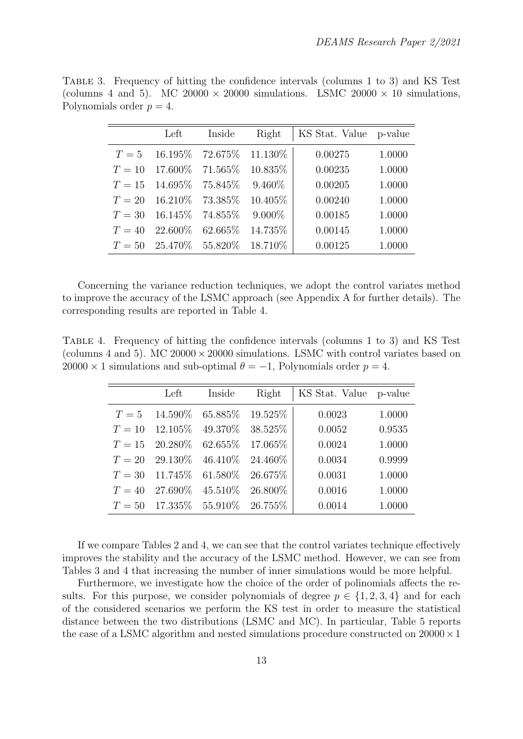Table 3. Frequency of hitting the confidence intervals (columns 1 to 3) and KS Test (columns 4 and 5). MC 20000  $\times$  20000 simulations. LSMC 20000  $\times$  10 simulations, Polynomials order  $p = 4$ .

|        | Left                       | Inside            | Right     | KS Stat. Value p-value |        |
|--------|----------------------------|-------------------|-----------|------------------------|--------|
| $T=5$  |                            | 16.195\% 72.675\% | 11.130\%  | 0.00275                | 1.0000 |
| $T=10$ | $17.600\%$                 | $71.565\%$        | 10.835%   | 0.00235                | 1.0000 |
| $T=15$ | 14.695\%75.845\%           |                   | 9.460\%   | 0.00205                | 1.0000 |
| $T=20$ |                            | 16.210\% 73.385\% | 10.405%   | 0.00240                | 1.0000 |
| $T=30$ | 16.145\%74.855\%           |                   | $9.000\%$ | 0.00185                | 1.0000 |
| $T=40$ | 22.600\%                   | $62.665\%$        | 14.735%   | 0.00145                | 1.0000 |
|        | $T = 50$ 25.470\% 55.820\% |                   | 18.710%   | 0.00125                | 1.0000 |

Concerning the variance reduction techniques, we adopt the control variates method to improve the accuracy of the LSMC approach (see Appendix A for further details). The corresponding results are reported in Table 4.

Table 4. Frequency of hitting the confidence intervals (columns 1 to 3) and KS Test (columns 4 and 5). MC  $20000 \times 20000$  simulations. LSMC with control variates based on  $20000 \times 1$  simulations and sub-optimal  $\theta = -1$ , Polynomials order  $p = 4$ .

|        | Left                                | Inside              | Right   | KS Stat. Value p-value |        |
|--------|-------------------------------------|---------------------|---------|------------------------|--------|
| $T=5$  |                                     | $14.590\%$ 65.885\% | 19.525% | 0.0023                 | 1.0000 |
|        | $T = 10$ 12.105\% 49.370\% 38.525\% |                     |         | 0.0052                 | 0.9535 |
|        | $T = 15$ 20.280\% 62.655\% 17.065\% |                     |         | 0.0024                 | 1.0000 |
|        | $T = 20$ 29.130\% 46.410\% 24.460\% |                     |         | 0.0034                 | 0.9999 |
| $T=30$ | $11.745\%$ 61.580\% 26.675\%        |                     |         | 0.0031                 | 1.0000 |
| $T=40$ | $27.690\%$                          | $45.510\%$ 26.800\% |         | 0.0016                 | 1.0000 |
|        | $T = 50$ 17.335\% 55.910\% 26.755\% |                     |         | 0.0014                 | 1.0000 |

If we compare Tables 2 and 4, we can see that the control variates technique effectively improves the stability and the accuracy of the LSMC method. However, we can see from Tables 3 and 4 that increasing the number of inner simulations would be more helpful.

Furthermore, we investigate how the choice of the order of polinomials affects the results. For this purpose, we consider polynomials of degree  $p \in \{1, 2, 3, 4\}$  and for each of the considered scenarios we perform the KS test in order to measure the statistical distance between the two distributions (LSMC and MC). In particular, Table 5 reports the case of a LSMC algorithm and nested simulations procedure constructed on  $20000 \times 1$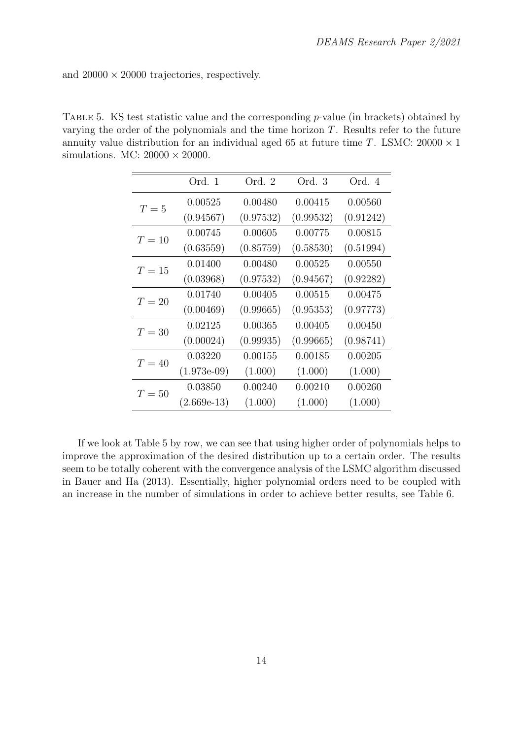and  $20000 \times 20000$  trajectories, respectively.

TABLE 5. KS test statistic value and the corresponding  $p$ -value (in brackets) obtained by varying the order of the polynomials and the time horizon  $T$ . Results refer to the future annuity value distribution for an individual aged 65 at future time T. LSMC:  $20000 \times 1$ simulations. MC:  $20000 \times 20000$ .

|        | Ord. 1         | Ord. 2    | Ord. 3    | Ord. 4    |
|--------|----------------|-----------|-----------|-----------|
| $T=5$  | 0.00525        | 0.00480   | 0.00415   | 0.00560   |
|        | (0.94567)      | (0.97532) | (0.99532) | (0.91242) |
| $T=10$ | 0.00745        | 0.00605   | 0.00775   | 0.00815   |
|        | (0.63559)      | (0.85759) | (0.58530) | (0.51994) |
| $T=15$ | 0.01400        | 0.00480   | 0.00525   | 0.00550   |
|        | (0.03968)      | (0.97532) | (0.94567) | (0.92282) |
| $T=20$ | 0.01740        | 0.00405   | 0.00515   | 0.00475   |
|        | (0.00469)      | (0.99665) | (0.95353) | (0.97773) |
| $T=30$ | 0.02125        | 0.00365   | 0.00405   | 0.00450   |
|        | (0.00024)      | (0.99935) | (0.99665) | (0.98741) |
| $T=40$ | 0.03220        | 0.00155   | 0.00185   | 0.00205   |
|        | $(1.973e-0.9)$ | (1.000)   | (1.000)   | (1.000)   |
| $T=50$ | 0.03850        | 0.00240   | 0.00210   | 0.00260   |
|        | $(2.669e-13)$  | (1.000)   | (1.000)   | (1.000)   |

If we look at Table 5 by row, we can see that using higher order of polynomials helps to improve the approximation of the desired distribution up to a certain order. The results seem to be totally coherent with the convergence analysis of the LSMC algorithm discussed in Bauer and Ha (2013). Essentially, higher polynomial orders need to be coupled with an increase in the number of simulations in order to achieve better results, see Table 6.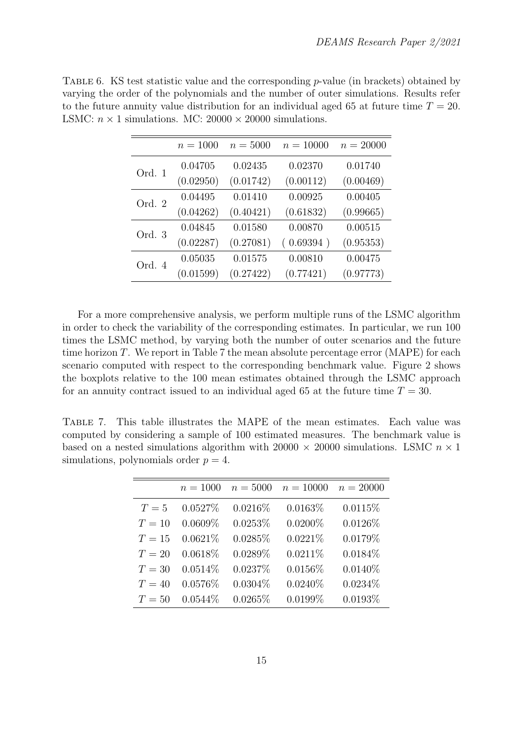|        | $n = 1000$ | $n = 5000$ | $n = 10000$ | $n = 20000$ |
|--------|------------|------------|-------------|-------------|
| Ord. 1 | 0.04705    | 0.02435    | 0.02370     | 0.01740     |
|        | (0.02950)  | (0.01742)  | (0.00112)   | (0.00469)   |
| Ord. 2 | 0.04495    | 0.01410    | 0.00925     | 0.00405     |
|        | (0.04262)  | (0.40421)  | (0.61832)   | (0.99665)   |
| Ord. 3 | 0.04845    | 0.01580    | 0.00870     | 0.00515     |
|        | (0.02287)  | (0.27081)  | (0.69394)   | (0.95353)   |
| Ord. 4 | 0.05035    | 0.01575    | 0.00810     | 0.00475     |
|        | (0.01599)  | (0.27422)  | (0.77421)   | (0.97773)   |

TABLE 6. KS test statistic value and the corresponding  $p$ -value (in brackets) obtained by varying the order of the polynomials and the number of outer simulations. Results refer to the future annuity value distribution for an individual aged 65 at future time  $T = 20$ . LSMC:  $n \times 1$  simulations. MC: 20000  $\times$  20000 simulations.

For a more comprehensive analysis, we perform multiple runs of the LSMC algorithm in order to check the variability of the corresponding estimates. In particular, we run 100 times the LSMC method, by varying both the number of outer scenarios and the future time horizon  $T$ . We report in Table 7 the mean absolute percentage error (MAPE) for each scenario computed with respect to the corresponding benchmark value. Figure 2 shows the boxplots relative to the 100 mean estimates obtained through the LSMC approach for an annuity contract issued to an individual aged 65 at the future time  $T = 30$ .

Table 7. This table illustrates the MAPE of the mean estimates. Each value was computed by considering a sample of 100 estimated measures. The benchmark value is based on a nested simulations algorithm with 20000  $\times$  20000 simulations. LSMC  $n \times 1$ simulations, polynomials order  $p = 4$ .

|        | $n = 1000$ | $n = 5000$ | $n = 10000$ | $n = 20000$ |
|--------|------------|------------|-------------|-------------|
| $T=5$  | 0.0527%    | $0.0216\%$ | 0.0163%     | 0.0115%     |
| $T=10$ | $0.0609\%$ | 0.0253%    | $0.0200\%$  | $0.0126\%$  |
| $T=15$ | 0.0621%    | 0.0285%    | 0.0221%     | 0.0179%     |
| $T=20$ | 0.0618%    | $0.0289\%$ | 0.0211%     | $0.0184\%$  |
| $T=30$ | 0.0514%    | 0.0237%    | $0.0156\%$  | $0.0140\%$  |
| $T=40$ | 0.0576%    | $0.0304\%$ | $0.0240\%$  | $0.0234\%$  |
| $T=50$ | $0.0544\%$ | 0.0265%    | $0.0199\%$  | 0.0193%     |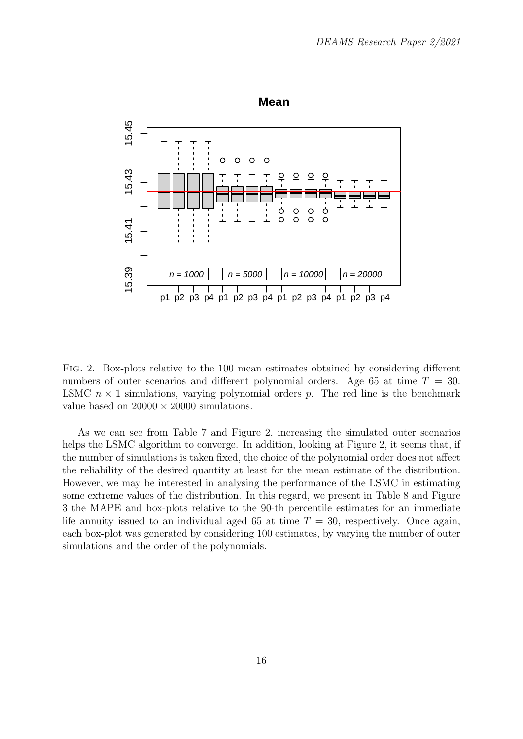

Fig. 2. Box-plots relative to the 100 mean estimates obtained by considering different numbers of outer scenarios and different polynomial orders. Age 65 at time  $T = 30$ . LSMC  $n \times 1$  simulations, varying polynomial orders p. The red line is the benchmark value based on  $20000 \times 20000$  simulations.

As we can see from Table 7 and Figure 2, increasing the simulated outer scenarios helps the LSMC algorithm to converge. In addition, looking at Figure 2, it seems that, if the number of simulations is taken fixed, the choice of the polynomial order does not affect the reliability of the desired quantity at least for the mean estimate of the distribution. However, we may be interested in analysing the performance of the LSMC in estimating some extreme values of the distribution. In this regard, we present in Table 8 and Figure 3 the MAPE and box-plots relative to the 90-th percentile estimates for an immediate life annuity issued to an individual aged 65 at time  $T = 30$ , respectively. Once again, each box-plot was generated by considering 100 estimates, by varying the number of outer simulations and the order of the polynomials.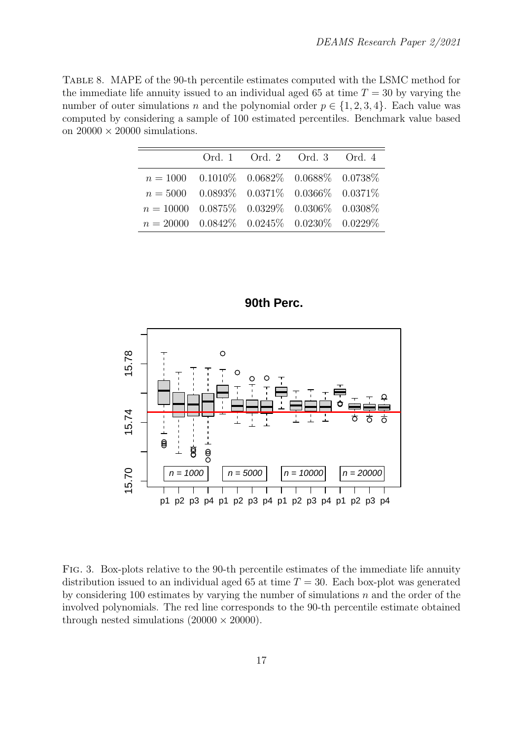Table 8. MAPE of the 90-th percentile estimates computed with the LSMC method for the immediate life annuity issued to an individual aged 65 at time  $T = 30$  by varying the number of outer simulations n and the polynomial order  $p \in \{1, 2, 3, 4\}$ . Each value was computed by considering a sample of 100 estimated percentiles. Benchmark value based on  $20000 \times 20000$  simulations.

|                                                                         | Ord. 1 Ord. 2 Ord. 3 Ord. 4 |  |
|-------------------------------------------------------------------------|-----------------------------|--|
| $n = 1000$ 0.1010\% 0.0682\% 0.0688\% 0.0738\%                          |                             |  |
| $n = 5000$ 0.0893\% 0.0371\% 0.0366\% 0.0371\%                          |                             |  |
| $n = 10000 \quad 0.0875\% \quad 0.0329\% \quad 0.0306\% \quad 0.0308\%$ |                             |  |
| $n = 20000 \quad 0.0842\% \quad 0.0245\% \quad 0.0230\% \quad 0.0229\%$ |                             |  |

**90th Perc.**



FIG. 3. Box-plots relative to the 90-th percentile estimates of the immediate life annuity distribution issued to an individual aged 65 at time  $T = 30$ . Each box-plot was generated by considering 100 estimates by varying the number of simulations  $n$  and the order of the involved polynomials. The red line corresponds to the 90-th percentile estimate obtained through nested simulations  $(20000 \times 20000)$ .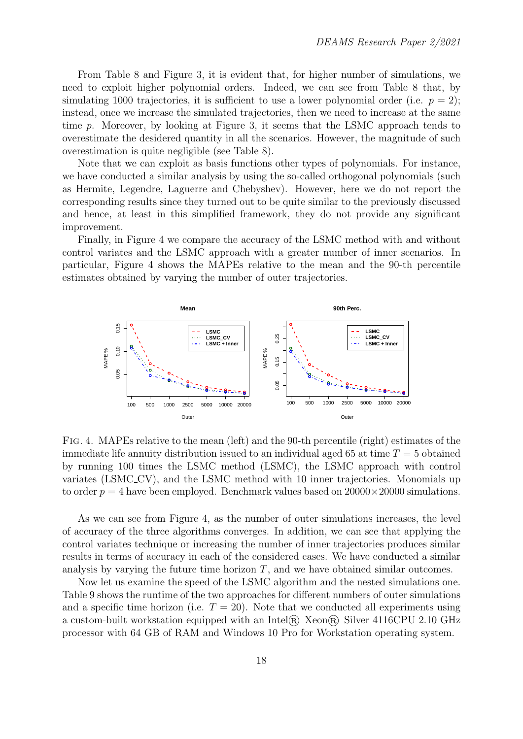From Table 8 and Figure 3, it is evident that, for higher number of simulations, we need to exploit higher polynomial orders. Indeed, we can see from Table 8 that, by simulating 1000 trajectories, it is sufficient to use a lower polynomial order (i.e.  $p = 2$ ); instead, once we increase the simulated trajectories, then we need to increase at the same time p. Moreover, by looking at Figure 3, it seems that the LSMC approach tends to overestimate the desidered quantity in all the scenarios. However, the magnitude of such overestimation is quite negligible (see Table 8).

Note that we can exploit as basis functions other types of polynomials. For instance, we have conducted a similar analysis by using the so-called orthogonal polynomials (such as Hermite, Legendre, Laguerre and Chebyshev). However, here we do not report the corresponding results since they turned out to be quite similar to the previously discussed and hence, at least in this simplified framework, they do not provide any significant improvement.

Finally, in Figure 4 we compare the accuracy of the LSMC method with and without control variates and the LSMC approach with a greater number of inner scenarios. In particular, Figure 4 shows the MAPEs relative to the mean and the 90-th percentile estimates obtained by varying the number of outer trajectories.



Fig. 4. MAPEs relative to the mean (left) and the 90-th percentile (right) estimates of the immediate life annuity distribution issued to an individual aged 65 at time  $T = 5$  obtained by running 100 times the LSMC method (LSMC), the LSMC approach with control variates (LSMC CV), and the LSMC method with 10 inner trajectories. Monomials up to order  $p = 4$  have been employed. Benchmark values based on  $20000 \times 20000$  simulations.

As we can see from Figure 4, as the number of outer simulations increases, the level of accuracy of the three algorithms converges. In addition, we can see that applying the control variates technique or increasing the number of inner trajectories produces similar results in terms of accuracy in each of the considered cases. We have conducted a similar analysis by varying the future time horizon  $T$ , and we have obtained similar outcomes.

Now let us examine the speed of the LSMC algorithm and the nested simulations one. Table 9 shows the runtime of the two approaches for different numbers of outer simulations and a specific time horizon (i.e.  $T = 20$ ). Note that we conducted all experiments using a custom-built workstation equipped with an Intel® Xeon® Silver 4116CPU 2.10 GHz processor with 64 GB of RAM and Windows 10 Pro for Workstation operating system.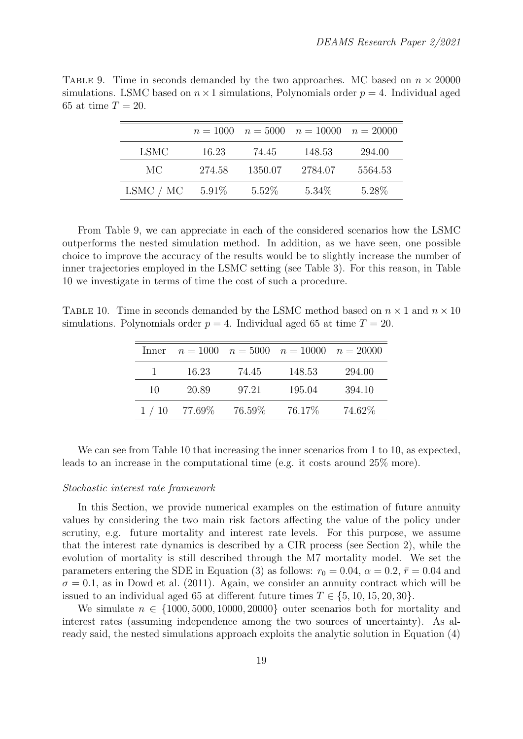|             |          |          | $n = 1000$ $n = 5000$ $n = 10000$ $n = 20000$ |         |
|-------------|----------|----------|-----------------------------------------------|---------|
| <b>LSMC</b> | 16.23    | 74.45    | 148.53                                        | 294.00  |
| MC          | 274.58   | 1350.07  | 2784.07                                       | 5564.53 |
| LSMC / MC   | $5.91\%$ | $5.52\%$ | $5.34\%$                                      | 5.28\%  |

TABLE 9. Time in seconds demanded by the two approaches. MC based on  $n \times 20000$ simulations. LSMC based on  $n \times 1$  simulations, Polynomials order  $p = 4$ . Individual aged 65 at time  $T = 20$ .

From Table 9, we can appreciate in each of the considered scenarios how the LSMC outperforms the nested simulation method. In addition, as we have seen, one possible choice to improve the accuracy of the results would be to slightly increase the number of inner trajectories employed in the LSMC setting (see Table 3). For this reason, in Table 10 we investigate in terms of time the cost of such a procedure.

TABLE 10. Time in seconds demanded by the LSMC method based on  $n \times 1$  and  $n \times 10$ simulations. Polynomials order  $p = 4$ . Individual aged 65 at time  $T = 20$ .

|              |               |           | Inner $n = 1000$ $n = 5000$ $n = 10000$ $n = 20000$ |        |
|--------------|---------------|-----------|-----------------------------------------------------|--------|
| $\mathbf{1}$ | 16.23         | 74.45     | 148.53                                              | 294.00 |
| 10           | 20.89         | 97.21     | 195.04                                              | 394.10 |
|              | $1/10$ 77.69% | $76.59\%$ | $76.17\%$                                           | 74.62% |

We can see from Table 10 that increasing the inner scenarios from 1 to 10, as expected, leads to an increase in the computational time (e.g. it costs around 25% more).

#### Stochastic interest rate framework

In this Section, we provide numerical examples on the estimation of future annuity values by considering the two main risk factors affecting the value of the policy under scrutiny, e.g. future mortality and interest rate levels. For this purpose, we assume that the interest rate dynamics is described by a CIR process (see Section 2), while the evolution of mortality is still described through the M7 mortality model. We set the parameters entering the SDE in Equation (3) as follows:  $r_0 = 0.04$ ,  $\alpha = 0.2$ ,  $\bar{r} = 0.04$  and  $\sigma = 0.1$ , as in Dowd et al. (2011). Again, we consider an annuity contract which will be issued to an individual aged 65 at different future times  $T \in \{5, 10, 15, 20, 30\}$ .

We simulate  $n \in \{1000, 5000, 10000, 20000\}$  outer scenarios both for mortality and interest rates (assuming independence among the two sources of uncertainty). As already said, the nested simulations approach exploits the analytic solution in Equation (4)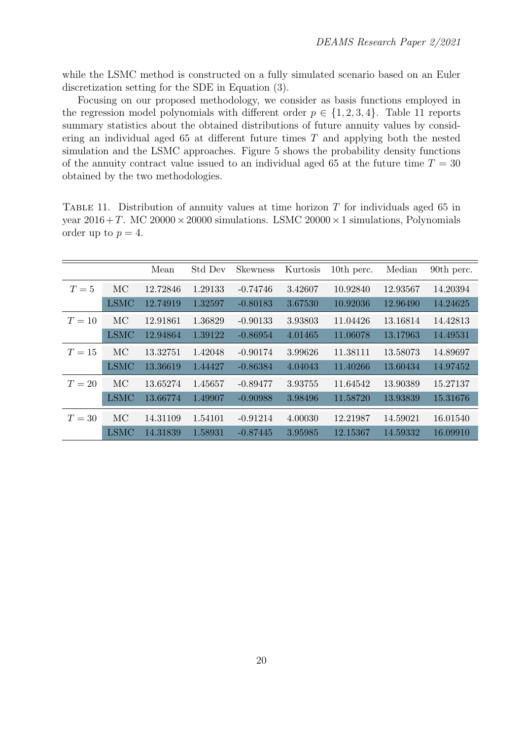while the LSMC method is constructed on a fully simulated scenario based on an Euler discretization setting for the SDE in Equation (3).

Focusing on our proposed methodology, we consider as basis functions employed in the regression model polynomials with different order  $p \in \{1, 2, 3, 4\}$ . Table 11 reports summary statistics about the obtained distributions of future annuity values by considering an individual aged  $65$  at different future times  $T$  and applying both the nested simulation and the LSMC approaches. Figure 5 shows the probability density functions of the annuity contract value issued to an individual aged 65 at the future time  $T = 30$ obtained by the two methodologies.

TABLE 11. Distribution of annuity values at time horizon  $T$  for individuals aged 65 in year  $2016 + T$ . MC  $20000 \times 20000$  simulations. LSMC  $20000 \times 1$  simulations, Polynomials order up to  $p = 4$ .

|        |             | Mean     | Std Dev | <b>Skewness</b> | Kurtosis | 10th perc. | Median   | 90th perc. |
|--------|-------------|----------|---------|-----------------|----------|------------|----------|------------|
| $T=5$  | МC          | 12.72846 | 1.29133 | $-0.74746$      | 3.42607  | 10.92840   | 12.93567 | 14.20394   |
|        | <b>LSMC</b> | 12.74919 | 1.32597 | $-0.80183$      | 3.67530  | 10.92036   | 12.96490 | 14.24625   |
| $T=10$ | MC          | 12.91861 | 1.36829 | $-0.90133$      | 3.93803  | 11.04426   | 13.16814 | 14.42813   |
|        | <b>LSMC</b> | 12.94864 | 1.39122 | $-0.86954$      | 4.01465  | 11.06078   | 13.17963 | 14.49531   |
| $T=15$ | MC          | 13.32751 | 1.42048 | $-0.90174$      | 3.99626  | 11.38111   | 13.58073 | 14.89697   |
|        | <b>LSMC</b> | 13.36619 | 1.44427 | $-0.86384$      | 4.04043  | 11.40266   | 13.60434 | 14.97452   |
| $T=20$ | МC          | 13.65274 | 1.45657 | $-0.89477$      | 3.93755  | 11.64542   | 13.90389 | 15.27137   |
|        | <b>LSMC</b> | 13.66774 | 1.49907 | $-0.90988$      | 3.98496  | 11.58720   | 13.93839 | 15.31676   |
| $T=30$ | MC          | 14.31109 | 1.54101 | $-0.91214$      | 4.00030  | 12.21987   | 14.59021 | 16.01540   |
|        | <b>LSMC</b> | 14.31839 | 1.58931 | $-0.87445$      | 3.95985  | 12.15367   | 14.59332 | 16.09910   |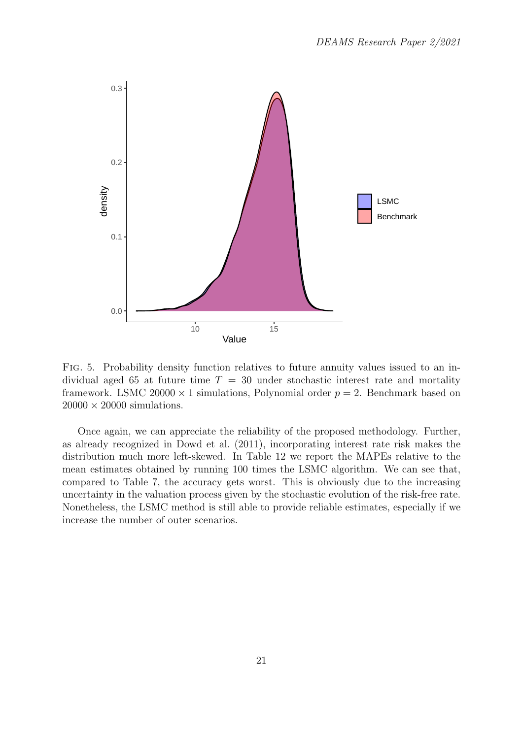

Fig. 5. Probability density function relatives to future annuity values issued to an individual aged 65 at future time  $T = 30$  under stochastic interest rate and mortality framework. LSMC 20000  $\times$  1 simulations, Polynomial order  $p = 2$ . Benchmark based on  $20000 \times 20000$  simulations.

Once again, we can appreciate the reliability of the proposed methodology. Further, as already recognized in Dowd et al. (2011), incorporating interest rate risk makes the distribution much more left-skewed. In Table 12 we report the MAPEs relative to the mean estimates obtained by running 100 times the LSMC algorithm. We can see that, compared to Table 7, the accuracy gets worst. This is obviously due to the increasing uncertainty in the valuation process given by the stochastic evolution of the risk-free rate. Nonetheless, the LSMC method is still able to provide reliable estimates, especially if we increase the number of outer scenarios.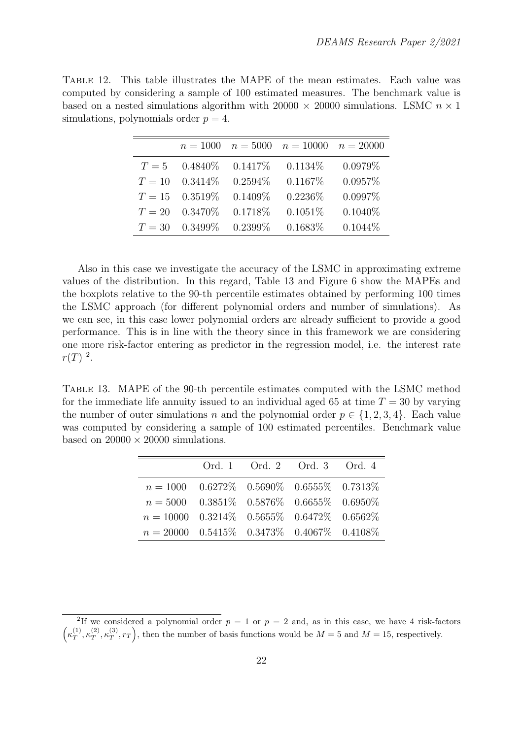Table 12. This table illustrates the MAPE of the mean estimates. Each value was computed by considering a sample of 100 estimated measures. The benchmark value is based on a nested simulations algorithm with  $20000 \times 20000$  simulations. LSMC  $n \times 1$ simulations, polynomials order  $p = 4$ .

|        | $n = 1000$        |            | $n = 5000$ $n = 10000$ $n = 20000$ |            |
|--------|-------------------|------------|------------------------------------|------------|
| $T=5$  | $0.4840\%$        | 0.1417%    | 0.1134\%                           | 0.0979%    |
| $T=10$ | $0.3414\%$        | $0.2594\%$ | 0.1167%                            | 0.0957%    |
|        | $T = 15$ 0.3519\% | $0.1409\%$ | 0.2236\%                           | 0.0997%    |
| $T=20$ | $0.3470\%$        | 0.1718\%   | $0.1051\%$                         | $0.1040\%$ |
| $T=30$ | $0.3499\%$        | $0.2399\%$ | 0.1683%                            | $0.1044\%$ |

Also in this case we investigate the accuracy of the LSMC in approximating extreme values of the distribution. In this regard, Table 13 and Figure 6 show the MAPEs and the boxplots relative to the 90-th percentile estimates obtained by performing 100 times the LSMC approach (for different polynomial orders and number of simulations). As we can see, in this case lower polynomial orders are already sufficient to provide a good performance. This is in line with the theory since in this framework we are considering one more risk-factor entering as predictor in the regression model, i.e. the interest rate  $r(T)^2$ .

Table 13. MAPE of the 90-th percentile estimates computed with the LSMC method for the immediate life annuity issued to an individual aged 65 at time  $T = 30$  by varying the number of outer simulations n and the polynomial order  $p \in \{1, 2, 3, 4\}$ . Each value was computed by considering a sample of 100 estimated percentiles. Benchmark value based on  $20000 \times 20000$  simulations.

|                                                                         | Ord. 1 Ord. 2 Ord. 3 Ord. 4 |  |
|-------------------------------------------------------------------------|-----------------------------|--|
| $n = 1000$ $0.6272\%$ $0.5690\%$ $0.6555\%$ $0.7313\%$                  |                             |  |
| $n = 5000$ $0.3851\%$ $0.5876\%$ $0.6655\%$ $0.6950\%$                  |                             |  |
| $n = 10000$ $0.3214\%$ $0.5655\%$ $0.6472\%$ $0.6562\%$                 |                             |  |
| $n = 20000 \quad 0.5415\% \quad 0.3473\% \quad 0.4067\% \quad 0.4108\%$ |                             |  |

<sup>&</sup>lt;sup>2</sup>If we considered a polynomial order  $p = 1$  or  $p = 2$  and, as in this case, we have 4 risk-factors  $\left(\kappa_T^{(1)}\right)$  $T^{(1)}, \kappa_T^{(2)}$  $_{T}^{(2)}, \kappa_{T}^{(3)}$  $(T(T), r_T)$ , then the number of basis functions would be  $M = 5$  and  $M = 15$ , respectively.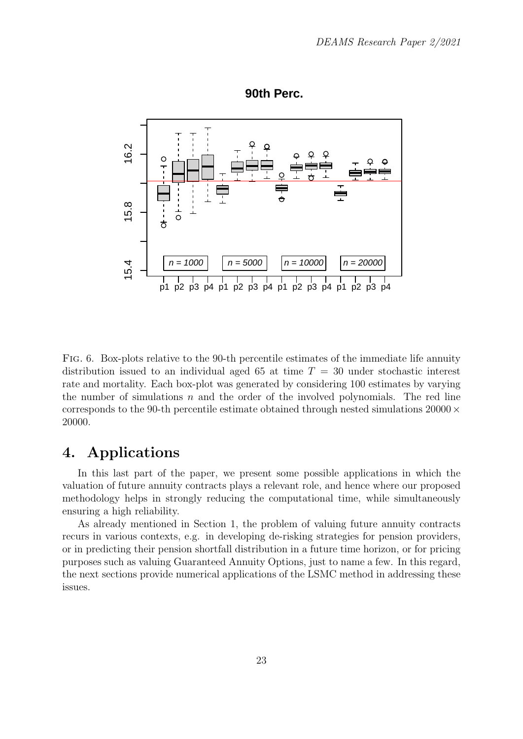

**90th Perc.**

Fig. 6. Box-plots relative to the 90-th percentile estimates of the immediate life annuity distribution issued to an individual aged 65 at time  $T = 30$  under stochastic interest rate and mortality. Each box-plot was generated by considering 100 estimates by varying the number of simulations  $n$  and the order of the involved polynomials. The red line corresponds to the 90-th percentile estimate obtained through nested simulations  $20000 \times$ 20000.

## 4. Applications

In this last part of the paper, we present some possible applications in which the valuation of future annuity contracts plays a relevant role, and hence where our proposed methodology helps in strongly reducing the computational time, while simultaneously ensuring a high reliability.

As already mentioned in Section 1, the problem of valuing future annuity contracts recurs in various contexts, e.g. in developing de-risking strategies for pension providers, or in predicting their pension shortfall distribution in a future time horizon, or for pricing purposes such as valuing Guaranteed Annuity Options, just to name a few. In this regard, the next sections provide numerical applications of the LSMC method in addressing these issues.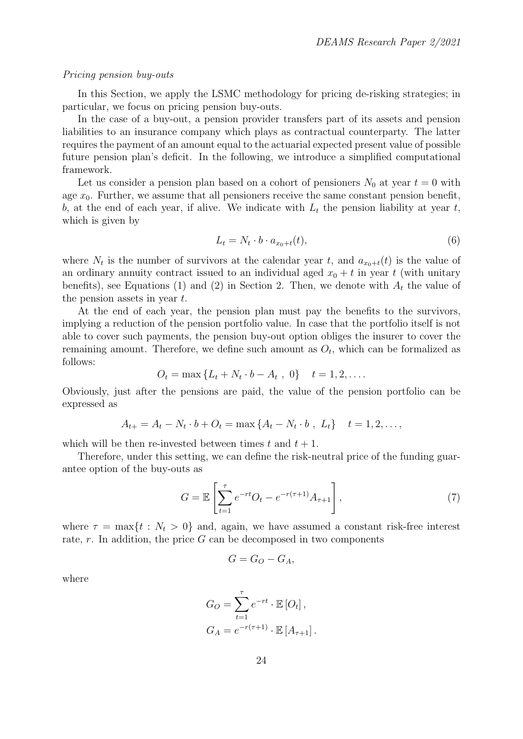#### Pricing pension buy-outs

In this Section, we apply the LSMC methodology for pricing de-risking strategies; in particular, we focus on pricing pension buy-outs.

In the case of a buy-out, a pension provider transfers part of its assets and pension liabilities to an insurance company which plays as contractual counterparty. The latter requires the payment of an amount equal to the actuarial expected present value of possible future pension plan's deficit. In the following, we introduce a simplified computational framework.

Let us consider a pension plan based on a cohort of pensioners  $N_0$  at year  $t = 0$  with age  $x_0$ . Further, we assume that all pensioners receive the same constant pension benefit, b, at the end of each year, if alive. We indicate with  $L_t$  the pension liability at year t, which is given by

$$
L_t = N_t \cdot b \cdot a_{x_0 + t}(t),\tag{6}
$$

where  $N_t$  is the number of survivors at the calendar year t, and  $a_{x_0+t}(t)$  is the value of an ordinary annuity contract issued to an individual aged  $x_0 + t$  in year t (with unitary benefits), see Equations (1) and (2) in Section 2. Then, we denote with  $A_t$  the value of the pension assets in year  $t$ .

At the end of each year, the pension plan must pay the benefits to the survivors, implying a reduction of the pension portfolio value. In case that the portfolio itself is not able to cover such payments, the pension buy-out option obliges the insurer to cover the remaining amount. Therefore, we define such amount as  $O_t$ , which can be formalized as follows:

$$
O_t = \max \{ L_t + N_t \cdot b - A_t , 0 \} \quad t = 1, 2, \dots
$$

Obviously, just after the pensions are paid, the value of the pension portfolio can be expressed as

$$
A_{t+} = A_t - N_t \cdot b + O_t = \max \{ A_t - N_t \cdot b , L_t \} \quad t = 1, 2, \dots,
$$

which will be then re-invested between times t and  $t + 1$ .

Therefore, under this setting, we can define the risk-neutral price of the funding guarantee option of the buy-outs as

$$
G = \mathbb{E}\left[\sum_{t=1}^{\tau} e^{-rt} O_t - e^{-r(\tau+1)} A_{\tau+1}\right],
$$
\n(7)

where  $\tau = \max\{t : N_t > 0\}$  and, again, we have assumed a constant risk-free interest rate,  $r$ . In addition, the price  $G$  can be decomposed in two components

$$
G = G_O - G_A,
$$

where

$$
G_O = \sum_{t=1}^{\tau} e^{-rt} \cdot \mathbb{E}[O_t],
$$
  
\n
$$
G_A = e^{-r(\tau+1)} \cdot \mathbb{E}[A_{\tau+1}].
$$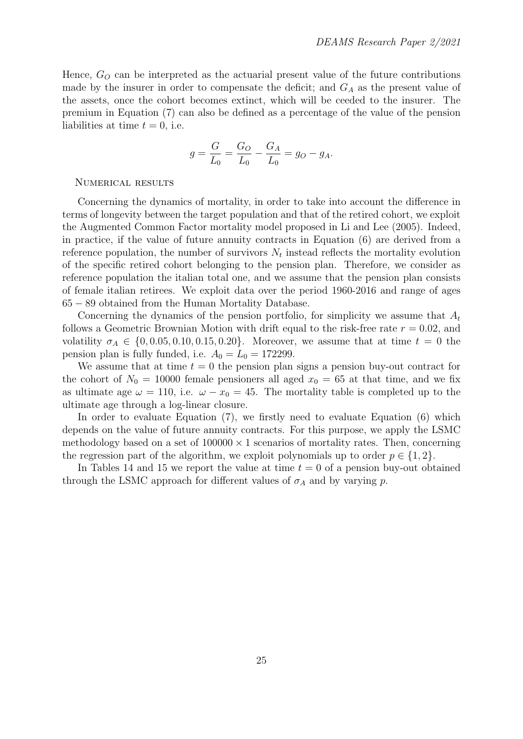Hence,  $G_O$  can be interpreted as the actuarial present value of the future contributions made by the insurer in order to compensate the deficit; and  $G_A$  as the present value of the assets, once the cohort becomes extinct, which will be ceeded to the insurer. The premium in Equation (7) can also be defined as a percentage of the value of the pension liabilities at time  $t = 0$ , i.e.

$$
g = \frac{G}{L_0} = \frac{G_O}{L_0} - \frac{G_A}{L_0} = g_O - g_A.
$$

#### Numerical results

Concerning the dynamics of mortality, in order to take into account the difference in terms of longevity between the target population and that of the retired cohort, we exploit the Augmented Common Factor mortality model proposed in Li and Lee (2005). Indeed, in practice, if the value of future annuity contracts in Equation (6) are derived from a reference population, the number of survivors  $N_t$  instead reflects the mortality evolution of the specific retired cohort belonging to the pension plan. Therefore, we consider as reference population the italian total one, and we assume that the pension plan consists of female italian retirees. We exploit data over the period 1960-2016 and range of ages 65 − 89 obtained from the Human Mortality Database.

Concerning the dynamics of the pension portfolio, for simplicity we assume that  $A_t$ follows a Geometric Brownian Motion with drift equal to the risk-free rate  $r = 0.02$ , and volatility  $\sigma_A \in \{0, 0.05, 0.10, 0.15, 0.20\}$ . Moreover, we assume that at time  $t = 0$  the pension plan is fully funded, i.e.  $A_0 = L_0 = 172299$ .

We assume that at time  $t = 0$  the pension plan signs a pension buy-out contract for the cohort of  $N_0 = 10000$  female pensioners all aged  $x_0 = 65$  at that time, and we fix as ultimate age  $\omega = 110$ , i.e.  $\omega - x_0 = 45$ . The mortality table is completed up to the ultimate age through a log-linear closure.

In order to evaluate Equation (7), we firstly need to evaluate Equation (6) which depends on the value of future annuity contracts. For this purpose, we apply the LSMC methodology based on a set of  $100000 \times 1$  scenarios of mortality rates. Then, concerning the regression part of the algorithm, we exploit polynomials up to order  $p \in \{1, 2\}$ .

In Tables 14 and 15 we report the value at time  $t = 0$  of a pension buy-out obtained through the LSMC approach for different values of  $\sigma_A$  and by varying p.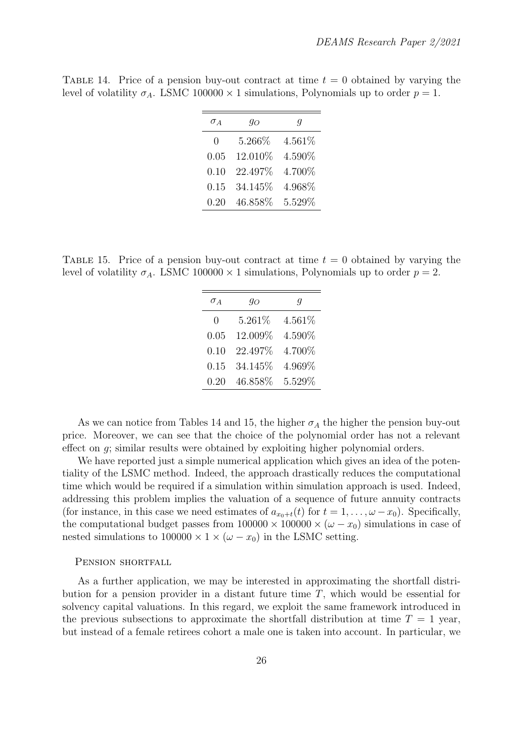| $\sigma_A$    | 90      | У      |
|---------------|---------|--------|
| $\mathcal{O}$ | 5.266%  | 4.561% |
| 0.05          | 12.010% | 4.590% |
| 0.10          | 22.497% | 4.700% |
| 0.15          | 34.145% | 4.968% |
| 0.20          | 46.858% | 5.529% |

TABLE 14. Price of a pension buy-out contract at time  $t = 0$  obtained by varying the level of volatility  $\sigma_A$ . LSMC 100000 × 1 simulations, Polynomials up to order  $p = 1$ .

TABLE 15. Price of a pension buy-out contract at time  $t = 0$  obtained by varying the level of volatility  $\sigma_A$ . LSMC 100000 × 1 simulations, Polynomials up to order  $p = 2$ .

| $\sigma_A$    | $q_O$   | g      |
|---------------|---------|--------|
| $\mathcal{O}$ | 5.261\% | 4.561% |
| 0.05          | 12.009% | 4.590% |
| 0.10          | 22.497% | 4.700% |
| 0.15          | 34.145% | 4.969% |
| 0.20          | 46.858% | 5.529% |

As we can notice from Tables 14 and 15, the higher  $\sigma_A$  the higher the pension buy-out price. Moreover, we can see that the choice of the polynomial order has not a relevant effect on g; similar results were obtained by exploiting higher polynomial orders.

We have reported just a simple numerical application which gives an idea of the potentiality of the LSMC method. Indeed, the approach drastically reduces the computational time which would be required if a simulation within simulation approach is used. Indeed, addressing this problem implies the valuation of a sequence of future annuity contracts (for instance, in this case we need estimates of  $a_{x0+t}(t)$  for  $t = 1, \ldots, \omega - x_0$ ). Specifically, the computational budget passes from  $100000 \times 100000 \times (\omega - x_0)$  simulations in case of nested simulations to  $100000 \times 1 \times (\omega - x_0)$  in the LSMC setting.

#### PENSION SHORTFALL

As a further application, we may be interested in approximating the shortfall distribution for a pension provider in a distant future time  $T$ , which would be essential for solvency capital valuations. In this regard, we exploit the same framework introduced in the previous subsections to approximate the shortfall distribution at time  $T = 1$  year, but instead of a female retirees cohort a male one is taken into account. In particular, we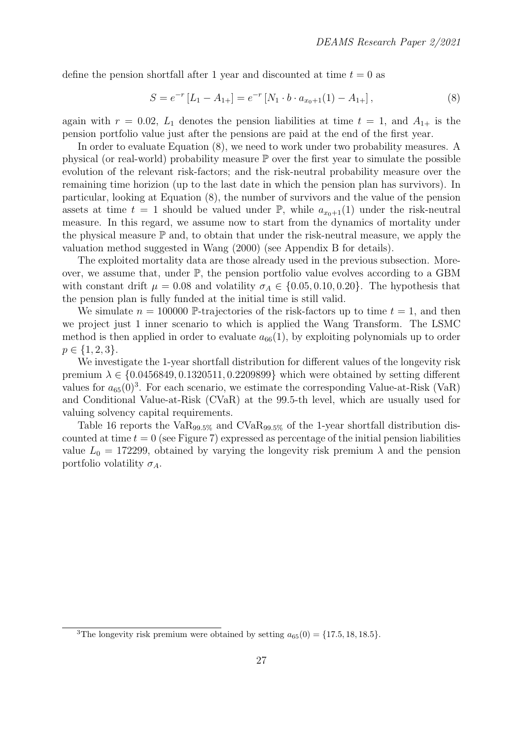define the pension shortfall after 1 year and discounted at time  $t = 0$  as

$$
S = e^{-r} [L_1 - A_{1+}] = e^{-r} [N_1 \cdot b \cdot a_{x_0+1}(1) - A_{1+}], \qquad (8)
$$

again with  $r = 0.02$ ,  $L_1$  denotes the pension liabilities at time  $t = 1$ , and  $A_{1+}$  is the pension portfolio value just after the pensions are paid at the end of the first year.

In order to evaluate Equation (8), we need to work under two probability measures. A physical (or real-world) probability measure  $\mathbb P$  over the first year to simulate the possible evolution of the relevant risk-factors; and the risk-neutral probability measure over the remaining time horizion (up to the last date in which the pension plan has survivors). In particular, looking at Equation (8), the number of survivors and the value of the pension assets at time  $t = 1$  should be valued under  $\mathbb{P}$ , while  $a_{x_0+1}(1)$  under the risk-neutral measure. In this regard, we assume now to start from the dynamics of mortality under the physical measure  $\mathbb P$  and, to obtain that under the risk-neutral measure, we apply the valuation method suggested in Wang (2000) (see Appendix B for details).

The exploited mortality data are those already used in the previous subsection. Moreover, we assume that, under  $\mathbb{P}$ , the pension portfolio value evolves according to a GBM with constant drift  $\mu = 0.08$  and volatility  $\sigma_A \in \{0.05, 0.10, 0.20\}$ . The hypothesis that the pension plan is fully funded at the initial time is still valid.

We simulate  $n = 100000$  P-trajectories of the risk-factors up to time  $t = 1$ , and then we project just 1 inner scenario to which is applied the Wang Transform. The LSMC method is then applied in order to evaluate  $a_{66}(1)$ , by exploiting polynomials up to order  $p \in \{1, 2, 3\}.$ 

We investigate the 1-year shortfall distribution for different values of the longevity risk premium  $\lambda \in \{0.0456849, 0.1320511, 0.2209899\}$  which were obtained by setting different values for  $a_{65}(0)^3$ . For each scenario, we estimate the corresponding Value-at-Risk (VaR) and Conditional Value-at-Risk (CVaR) at the 99.5-th level, which are usually used for valuing solvency capital requirements.

Table 16 reports the  $VaR_{99.5\%}$  and  $CVaR_{99.5\%}$  of the 1-year shortfall distribution discounted at time  $t = 0$  (see Figure 7) expressed as percentage of the initial pension liabilities value  $L_0 = 172299$ , obtained by varying the longevity risk premium  $\lambda$  and the pension portfolio volatility  $\sigma_A$ .

<sup>&</sup>lt;sup>3</sup>The longevity risk premium were obtained by setting  $a_{65}(0) = \{17.5, 18, 18.5\}.$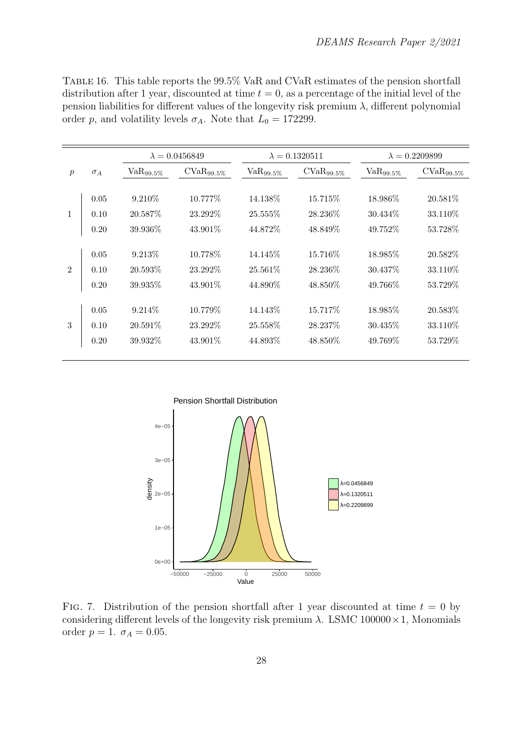| TABLE 16. This table reports the 99.5% VaR and CVaR estimates of the pension shortfall                  |
|---------------------------------------------------------------------------------------------------------|
| distribution after 1 year, discounted at time $t = 0$ , as a percentage of the initial level of the     |
| pension liabilities for different values of the longevity risk premium $\lambda$ , different polynomial |
| order p, and volatility levels $\sigma_A$ . Note that $L_0 = 172299$ .                                  |

|               |            |                | $\lambda = 0.0456849$ |                | $\lambda = 0.1320511$ |                | $\lambda = 0.2209899$ |  |
|---------------|------------|----------------|-----------------------|----------------|-----------------------|----------------|-----------------------|--|
| $\mathcal{p}$ | $\sigma_A$ | $VaR_{99.5\%}$ | $CVaR_{99.5\%}$       | $VaR_{99.5\%}$ | $CVaR_{99.5\%}$       | $VaR_{99.5\%}$ | $CVaR_{99.5\%}$       |  |
|               |            |                |                       |                |                       |                |                       |  |
|               | 0.05       | 9.210\%        | 10.777\%              | 14.138\%       | 15.715\%              | 18.986\%       | 20.581\%              |  |
| $\mathbf{1}$  | 0.10       | 20.587\%       | 23.292\%              | 25.555\%       | 28.236\%              | 30.434\%       | 33.110\%              |  |
|               | 0.20       | 39.936\%       | $43.901\%$            | 44.872%        | 48.849\%              | 49.752%        | 53.728\%              |  |
|               |            |                |                       |                |                       |                |                       |  |
|               | 0.05       | 9.213\%        | 10.778\%              | 14.145\%       | 15.716\%              | 18.985\%       | 20.582\%              |  |
| 2             | 0.10       | 20.593%        | 23.292\%              | 25.561\%       | 28.236\%              | 30.437\%       | 33.110\%              |  |
|               | 0.20       | 39.935\%       | $43.901\%$            | 44.890\%       | 48.850\%              | 49.766\%       | 53.729\%              |  |
|               |            |                |                       |                |                       |                |                       |  |
|               | 0.05       | 9.214\%        | 10.779%               | 14.143%        | 15.717%               | 18.985%        | 20.583\%              |  |
| 3             | 0.10       | $20.591\%$     | 23.292\%              | 25.558%        | 28.237%               | 30.435\%       | 33.110\%              |  |
|               | 0.20       | 39.932\%       | 43.901\%              | 44.893\%       | 48.850\%              | 49.769\%       | 53.729\%              |  |
|               |            |                |                       |                |                       |                |                       |  |



FIG. 7. Distribution of the pension shortfall after 1 year discounted at time  $t = 0$  by considering different levels of the longevity risk premium  $\lambda$ . LSMC 100000 × 1, Monomials order  $p = 1. \, \sigma_A = 0.05.$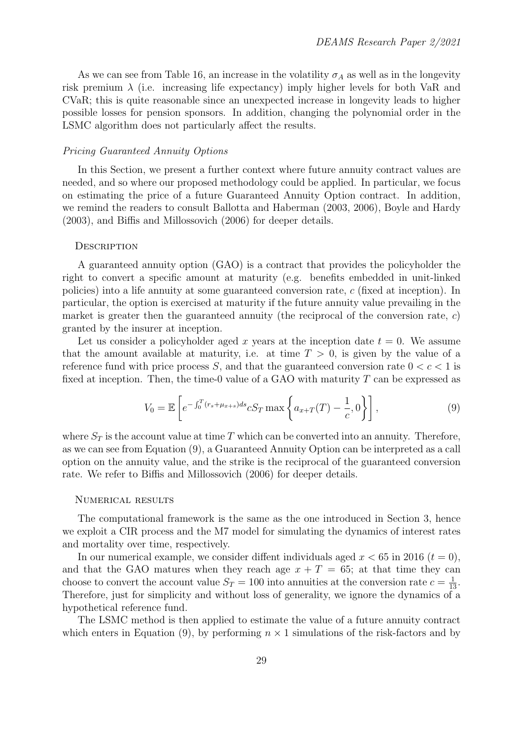As we can see from Table 16, an increase in the volatility  $\sigma_A$  as well as in the longevity risk premium  $\lambda$  (i.e. increasing life expectancy) imply higher levels for both VaR and CVaR; this is quite reasonable since an unexpected increase in longevity leads to higher possible losses for pension sponsors. In addition, changing the polynomial order in the LSMC algorithm does not particularly affect the results.

#### Pricing Guaranteed Annuity Options

In this Section, we present a further context where future annuity contract values are needed, and so where our proposed methodology could be applied. In particular, we focus on estimating the price of a future Guaranteed Annuity Option contract. In addition, we remind the readers to consult Ballotta and Haberman (2003, 2006), Boyle and Hardy (2003), and Biffis and Millossovich (2006) for deeper details.

#### **DESCRIPTION**

A guaranteed annuity option (GAO) is a contract that provides the policyholder the right to convert a specific amount at maturity (e.g. benefits embedded in unit-linked policies) into a life annuity at some guaranteed conversion rate, c (fixed at inception). In particular, the option is exercised at maturity if the future annuity value prevailing in the market is greater then the guaranteed annuity (the reciprocal of the conversion rate,  $c$ ) granted by the insurer at inception.

Let us consider a policyholder aged x years at the inception date  $t = 0$ . We assume that the amount available at maturity, i.e. at time  $T > 0$ , is given by the value of a reference fund with price process S, and that the guaranteed conversion rate  $0 < c < 1$  is fixed at inception. Then, the time-0 value of a GAO with maturity  $T$  can be expressed as

$$
V_0 = \mathbb{E}\left[e^{-\int_0^T (r_s + \mu_{x+s})ds} cS_T \max\left\{a_{x+T}(T) - \frac{1}{c}, 0\right\}\right],
$$
\n(9)

where  $S_T$  is the account value at time T which can be converted into an annuity. Therefore, as we can see from Equation (9), a Guaranteed Annuity Option can be interpreted as a call option on the annuity value, and the strike is the reciprocal of the guaranteed conversion rate. We refer to Biffis and Millossovich (2006) for deeper details.

#### Numerical results

The computational framework is the same as the one introduced in Section 3, hence we exploit a CIR process and the M7 model for simulating the dynamics of interest rates and mortality over time, respectively.

In our numerical example, we consider diffent individuals aged  $x < 65$  in 2016 ( $t = 0$ ), and that the GAO matures when they reach age  $x + T = 65$ ; at that time they can choose to convert the account value  $S_T = 100$  into annuities at the conversion rate  $c = \frac{1}{13}$ . Therefore, just for simplicity and without loss of generality, we ignore the dynamics of a hypothetical reference fund.

The LSMC method is then applied to estimate the value of a future annuity contract which enters in Equation (9), by performing  $n \times 1$  simulations of the risk-factors and by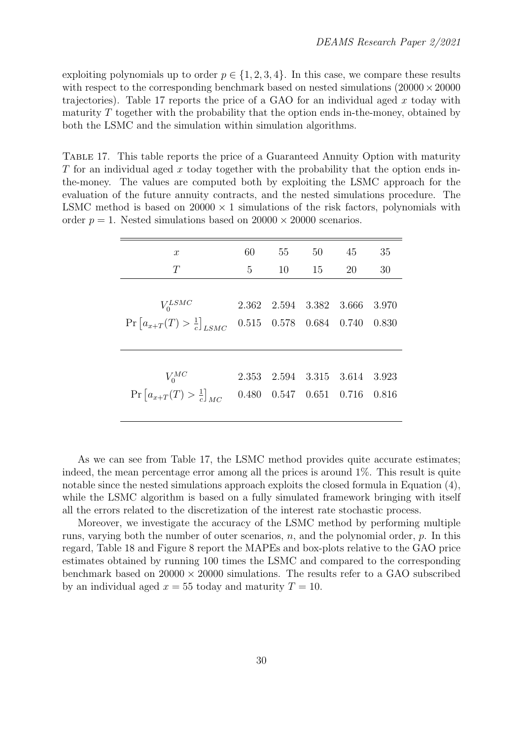exploiting polynomials up to order  $p \in \{1, 2, 3, 4\}$ . In this case, we compare these results with respect to the corresponding benchmark based on nested simulations  $(20000 \times 20000$ trajectories). Table 17 reports the price of a GAO for an individual aged  $x$  today with maturity  $T$  together with the probability that the option ends in-the-money, obtained by both the LSMC and the simulation within simulation algorithms.

Table 17. This table reports the price of a Guaranteed Annuity Option with maturity T for an individual aged x today together with the probability that the option ends inthe-money. The values are computed both by exploiting the LSMC approach for the evaluation of the future annuity contracts, and the nested simulations procedure. The LSMC method is based on  $20000 \times 1$  simulations of the risk factors, polynomials with order  $p = 1$ . Nested simulations based on  $20000 \times 20000$  scenarios.

| $\boldsymbol{x}$                                                                | 60    | 55                | 50   | 45                              | 35    |
|---------------------------------------------------------------------------------|-------|-------------------|------|---------------------------------|-------|
| T                                                                               | 5     | 10                | - 15 | 20                              | 30    |
|                                                                                 |       |                   |      |                                 |       |
| $V_0^{LSMC}$                                                                    |       | 2.362 2.594 3.382 |      | 3.666                           | 3.970 |
| $\Pr\left[a_{x+T}(T) > \frac{1}{c}\right]_{LSMC}$ 0.515 0.578 0.684 0.740 0.830 |       |                   |      |                                 |       |
|                                                                                 |       |                   |      |                                 |       |
|                                                                                 |       |                   |      |                                 |       |
| $V_0^{MC}$                                                                      | 2.353 |                   |      | 2.594 3.315 3.614 3.923         |       |
| $\Pr\left[a_{x+T}(T) > \frac{1}{c}\right]_{MC}$                                 | 0.480 |                   |      | $0.547$ $0.651$ $0.716$ $0.816$ |       |
|                                                                                 |       |                   |      |                                 |       |

As we can see from Table 17, the LSMC method provides quite accurate estimates; indeed, the mean percentage error among all the prices is around 1%. This result is quite notable since the nested simulations approach exploits the closed formula in Equation (4), while the LSMC algorithm is based on a fully simulated framework bringing with itself all the errors related to the discretization of the interest rate stochastic process.

Moreover, we investigate the accuracy of the LSMC method by performing multiple runs, varying both the number of outer scenarios,  $n$ , and the polynomial order,  $p$ . In this regard, Table 18 and Figure 8 report the MAPEs and box-plots relative to the GAO price estimates obtained by running 100 times the LSMC and compared to the corresponding benchmark based on  $20000 \times 20000$  simulations. The results refer to a GAO subscribed by an individual aged  $x = 55$  today and maturity  $T = 10$ .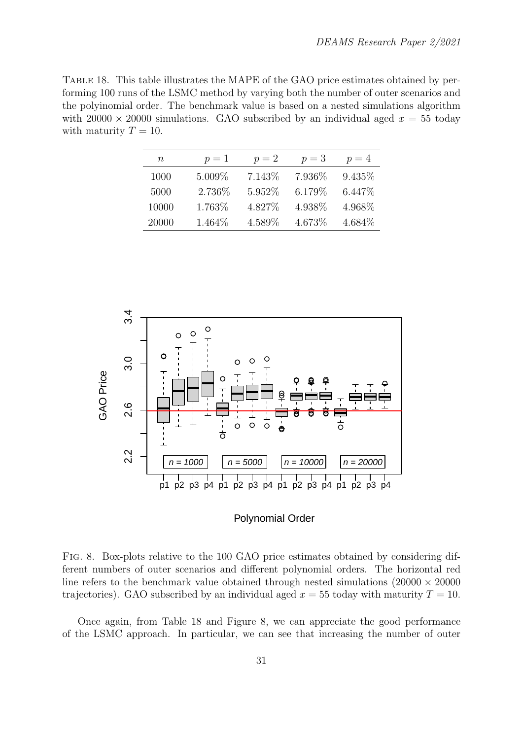Table 18. This table illustrates the MAPE of the GAO price estimates obtained by performing 100 runs of the LSMC method by varying both the number of outer scenarios and the polyinomial order. The benchmark value is based on a nested simulations algorithm with  $20000 \times 20000$  simulations. GAO subscribed by an individual aged  $x = 55$  today with maturity  $T = 10$ .

| n     | $p=1$   | $p=2$   | $p=3$   | $p=4$   |
|-------|---------|---------|---------|---------|
| 1000  | 5.009\% | 7.143\% | 7.936\% | 9.435\% |
| 5000  | 2.736\% | 5.952\% | 6.179%  | 6.447\% |
| 10000 | 1.763%  | 4.827\% | 4.938\% | 4.968\% |
| 20000 | 1.464\% | 4.589%  | 4.673%  | 4.684\% |



#### Polynomial Order

Fig. 8. Box-plots relative to the 100 GAO price estimates obtained by considering different numbers of outer scenarios and different polynomial orders. The horizontal red line refers to the benchmark value obtained through nested simulations  $(20000 \times 20000$ trajectories). GAO subscribed by an individual aged  $x = 55$  today with maturity  $T = 10$ .

Once again, from Table 18 and Figure 8, we can appreciate the good performance of the LSMC approach. In particular, we can see that increasing the number of outer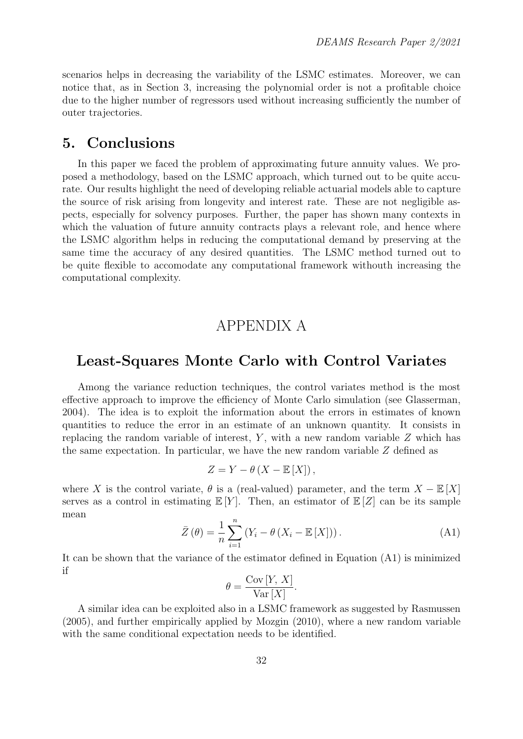scenarios helps in decreasing the variability of the LSMC estimates. Moreover, we can notice that, as in Section 3, increasing the polynomial order is not a profitable choice due to the higher number of regressors used without increasing sufficiently the number of outer trajectories.

## 5. Conclusions

In this paper we faced the problem of approximating future annuity values. We proposed a methodology, based on the LSMC approach, which turned out to be quite accurate. Our results highlight the need of developing reliable actuarial models able to capture the source of risk arising from longevity and interest rate. These are not negligible aspects, especially for solvency purposes. Further, the paper has shown many contexts in which the valuation of future annuity contracts plays a relevant role, and hence where the LSMC algorithm helps in reducing the computational demand by preserving at the same time the accuracy of any desired quantities. The LSMC method turned out to be quite flexible to accomodate any computational framework withouth increasing the computational complexity.

## APPENDIX A

## Least-Squares Monte Carlo with Control Variates

Among the variance reduction techniques, the control variates method is the most effective approach to improve the efficiency of Monte Carlo simulation (see Glasserman, 2004). The idea is to exploit the information about the errors in estimates of known quantities to reduce the error in an estimate of an unknown quantity. It consists in replacing the random variable of interest,  $Y$ , with a new random variable  $Z$  which has the same expectation. In particular, we have the new random variable Z defined as

$$
Z = Y - \theta \left( X - \mathbb{E} \left[ X \right] \right),
$$

where X is the control variate,  $\theta$  is a (real-valued) parameter, and the term  $X - \mathbb{E}[X]$ serves as a control in estimating  $\mathbb{E}[Y]$ . Then, an estimator of  $\mathbb{E}[Z]$  can be its sample mean

$$
\bar{Z}(\theta) = \frac{1}{n} \sum_{i=1}^{n} \left( Y_i - \theta \left( X_i - \mathbb{E}[X] \right) \right). \tag{A1}
$$

It can be shown that the variance of the estimator defined in Equation (A1) is minimized if

$$
\theta = \frac{\text{Cov}[Y, X]}{\text{Var}[X]}.
$$

A similar idea can be exploited also in a LSMC framework as suggested by Rasmussen (2005), and further empirically applied by Mozgin (2010), where a new random variable with the same conditional expectation needs to be identified.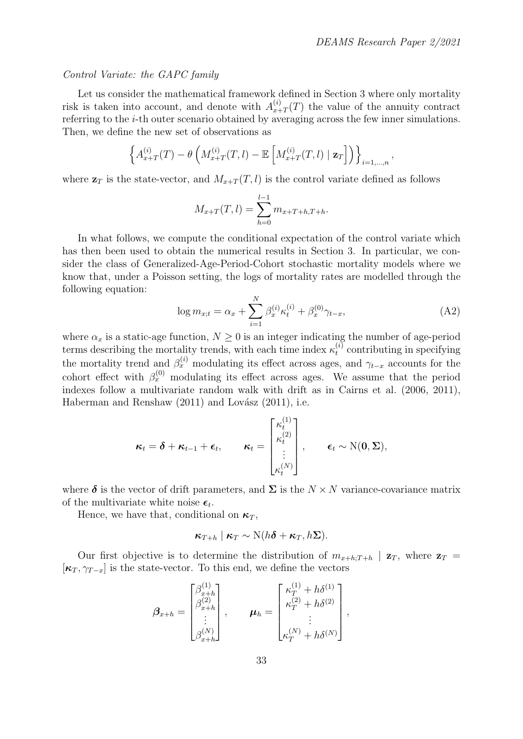#### Control Variate: the GAPC family

Let us consider the mathematical framework defined in Section 3 where only mortality risk is taken into account, and denote with  $A_{x+}^{(i)}$  $x_{x+T}^{(i)}(T)$  the value of the annuity contract referring to the i-th outer scenario obtained by averaging across the few inner simulations. Then, we define the new set of observations as

$$
\left\{ A_{x+T}^{(i)}(T) - \theta \left( M_{x+T}^{(i)}(T,l) - \mathbb{E} \left[ M_{x+T}^{(i)}(T,l) \mid \mathbf{z}_T \right] \right) \right\}_{i=1,\dots,n},
$$

where  $\mathbf{z}_T$  is the state-vector, and  $M_{x+T}(T, l)$  is the control variate defined as follows

$$
M_{x+T}(T,l) = \sum_{h=0}^{l-1} m_{x+T+h,T+h}.
$$

In what follows, we compute the conditional expectation of the control variate which has then been used to obtain the numerical results in Section 3. In particular, we consider the class of Generalized-Age-Period-Cohort stochastic mortality models where we know that, under a Poisson setting, the logs of mortality rates are modelled through the following equation:

$$
\log m_{x;t} = \alpha_x + \sum_{i=1}^{N} \beta_x^{(i)} \kappa_t^{(i)} + \beta_x^{(0)} \gamma_{t-x}, \tag{A2}
$$

where  $\alpha_x$  is a static-age function,  $N \geq 0$  is an integer indicating the number of age-period terms describing the mortality trends, with each time index  $\kappa_t^{(i)}$  $t_t^{(i)}$  contributing in specifying the mortality trend and  $\beta_x^{(i)}$  modulating its effect across ages, and  $\gamma_{t-x}$  accounts for the cohort effect with  $\beta_x^{(0)}$  modulating its effect across ages. We assume that the period indexes follow a multivariate random walk with drift as in Cairns et al. (2006, 2011), Haberman and Renshaw  $(2011)$  and Lovász  $(2011)$ , i.e.

$$
\boldsymbol{\kappa}_t = \boldsymbol{\delta} + \boldsymbol{\kappa}_{t-1} + \boldsymbol{\epsilon}_t, \qquad \boldsymbol{\kappa}_t = \begin{bmatrix} \kappa_t^{(1)} \\ \kappa_t^{(2)} \\ \vdots \\ \kappa_t^{(N)} \end{bmatrix}, \qquad \boldsymbol{\epsilon}_t \sim \mathrm{N}(\boldsymbol{0}, \boldsymbol{\Sigma}),
$$

where  $\delta$  is the vector of drift parameters, and  $\Sigma$  is the  $N \times N$  variance-covariance matrix of the multivariate white noise  $\epsilon_t$ .

Hence, we have that, conditional on  $\kappa_T$ ,

$$
\kappa_{T+h} \mid \kappa_T \sim \mathrm{N}(h\boldsymbol{\delta} + \kappa_T, h\boldsymbol{\Sigma}).
$$

Our first objective is to determine the distribution of  $m_{x+h:T+h}$  |  $\mathbf{z}_T$ , where  $\mathbf{z}_T$  =  $[\kappa_T, \gamma_{T-x}]$  is the state-vector. To this end, we define the vectors

$$
\boldsymbol{\beta}_{x+h} = \begin{bmatrix} \beta_{x+h}^{(1)} \\ \beta_{x+h}^{(2)} \\ \vdots \\ \beta_{x+h}^{(N)} \end{bmatrix}, \qquad \boldsymbol{\mu}_h = \begin{bmatrix} \kappa_T^{(1)} + h\delta^{(1)} \\ \kappa_T^{(2)} + h\delta^{(2)} \\ \vdots \\ \kappa_T^{(N)} + h\delta^{(N)} \end{bmatrix},
$$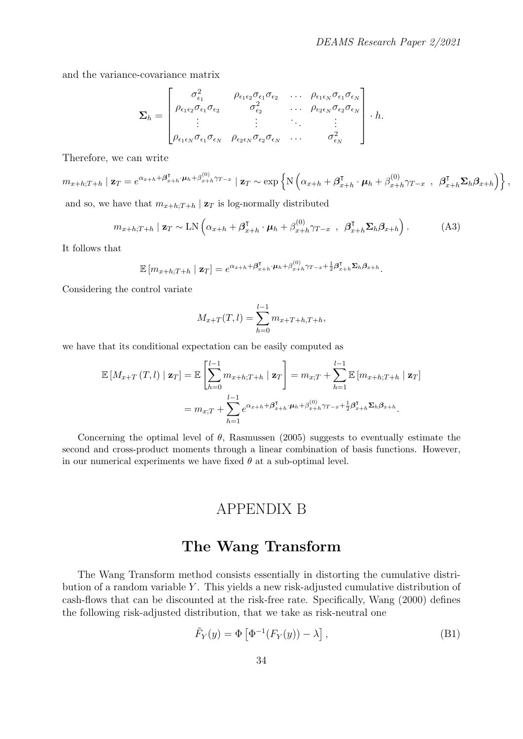and the variance-covariance matrix

$$
\Sigma_h = \begin{bmatrix}\n\sigma_{\epsilon_1}^2 & \rho_{\epsilon_1 \epsilon_2} \sigma_{\epsilon_1} \sigma_{\epsilon_2} & \cdots & \rho_{\epsilon_1 \epsilon_N} \sigma_{\epsilon_1} \sigma_{\epsilon_N} \\
\rho_{\epsilon_1 \epsilon_2} \sigma_{\epsilon_1} \sigma_{\epsilon_2} & \sigma_{\epsilon_2}^2 & \cdots & \rho_{\epsilon_2 \epsilon_N} \sigma_{\epsilon_2} \sigma_{\epsilon_N} \\
\vdots & \vdots & \ddots & \vdots \\
\rho_{\epsilon_1 \epsilon_N} \sigma_{\epsilon_1} \sigma_{\epsilon_N} & \rho_{\epsilon_2 \epsilon_N} \sigma_{\epsilon_2} \sigma_{\epsilon_N} & \cdots & \sigma_{\epsilon_N}^2\n\end{bmatrix}.
$$

Therefore, we can write

$$
m_{x+h;T+h} \mid \mathbf{z}_T = e^{\alpha_{x+h} + \beta_{x+h}^{\mathsf{T}} \cdot \boldsymbol{\mu}_h + \beta_{x+h}^{(0)} \cdot \gamma_{T-x}} \mid \mathbf{z}_T \sim \exp\left\{ \mathcal{N}\left( \alpha_{x+h} + \beta_{x+h}^{\mathsf{T}} \cdot \boldsymbol{\mu}_h + \beta_{x+h}^{(0)} \gamma_{T-x} , \ \beta_{x+h}^{\mathsf{T}} \Sigma_h \beta_{x+h} \right) \right\},\,
$$

and so, we have that  $m_{x+h:T+h} | \mathbf{z}_T$  is log-normally distributed

$$
m_{x+h;T+h} \mid \mathbf{z}_T \sim \text{LN}\left(\alpha_{x+h} + \boldsymbol{\beta}_{x+h}^{\mathsf{T}} \cdot \boldsymbol{\mu}_h + \boldsymbol{\beta}_{x+h}^{(0)} \gamma_{T-x} , \ \boldsymbol{\beta}_{x+h}^{\mathsf{T}} \boldsymbol{\Sigma}_h \boldsymbol{\beta}_{x+h}\right). \tag{A3}
$$

It follows that

$$
\mathbb{E}\left[m_{x+h;T+h}\mid \mathbf{z}_T\right] = e^{\alpha_{x+h} + \beta_{x+h}^{\mathsf{T}} \cdot \boldsymbol{\mu}_h + \beta_{x+h}^{(0)} \gamma_{T-x} + \frac{1}{2}\beta_{x+h}^{\mathsf{T}} \Sigma_h \beta_{x+h}}.
$$

Considering the control variate

$$
M_{x+T}(T,l) = \sum_{h=0}^{l-1} m_{x+T+h,T+h},
$$

we have that its conditional expectation can be easily computed as

$$
\mathbb{E}\left[M_{x+T}(T,l) \mid \mathbf{z}_T\right] = \mathbb{E}\left[\sum_{h=0}^{l-1} m_{x+h;T+h} \mid \mathbf{z}_T\right] = m_{x;T} + \sum_{h=1}^{l-1} \mathbb{E}\left[m_{x+h;T+h} \mid \mathbf{z}_T\right]
$$
  
=  $m_{x;T} + \sum_{h=1}^{l-1} e^{\alpha_{x+h} + \beta_{x+h}^{T} \cdot \boldsymbol{\mu}_h + \beta_{x+h}^{(0)} \cdot \gamma_{T-x} + \frac{1}{2} \beta_{x+h}^{T} \Sigma_h \beta_{x+h}.$ 

Concerning the optimal level of  $\theta$ , Rasmussen (2005) suggests to eventually estimate the second and cross-product moments through a linear combination of basis functions. However, in our numerical experiments we have fixed  $\theta$  at a sub-optimal level.

## APPENDIX B

## The Wang Transform

The Wang Transform method consists essentially in distorting the cumulative distribution of a random variable  $Y$ . This yields a new risk-adjusted cumulative distribution of cash-flows that can be discounted at the risk-free rate. Specifically, Wang (2000) defines the following risk-adjusted distribution, that we take as risk-neutral one

$$
\tilde{F}_Y(y) = \Phi \left[ \Phi^{-1}(F_Y(y)) - \lambda \right],\tag{B1}
$$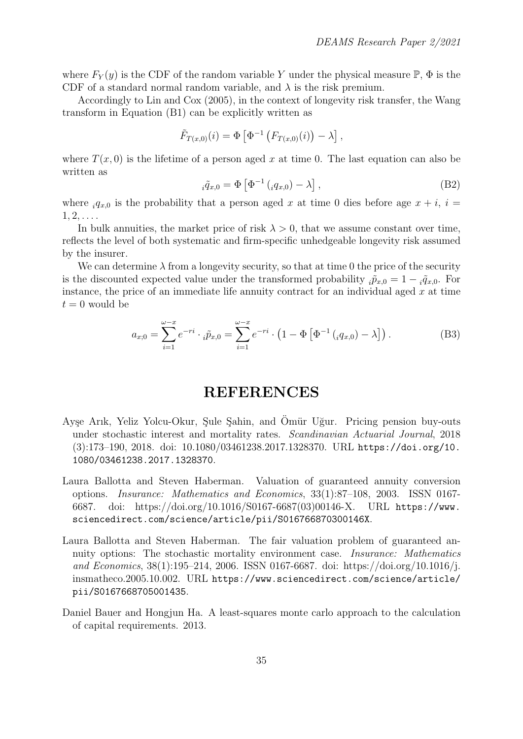where  $F_Y(y)$  is the CDF of the random variable Y under the physical measure  $\mathbb{P}, \Phi$  is the CDF of a standard normal random variable, and  $\lambda$  is the risk premium.

Accordingly to Lin and Cox (2005), in the context of longevity risk transfer, the Wang transform in Equation (B1) can be explicitly written as

$$
\tilde{F}_{T(x,0)}(i) = \Phi \left[ \Phi^{-1} \left( F_{T(x,0)}(i) \right) - \lambda \right],
$$

where  $T(x, 0)$  is the lifetime of a person aged x at time 0. The last equation can also be written as

$$
{}_{i}\tilde{q}_{x,0} = \Phi \left[ \Phi^{-1} \left( {}_{i}q_{x,0} \right) - \lambda \right], \tag{B2}
$$

where  ${}_{i}q_{x,0}$  is the probability that a person aged x at time 0 dies before age  $x + i$ ,  $i =$  $1, 2, \ldots$ 

In bulk annuities, the market price of risk  $\lambda > 0$ , that we assume constant over time, reflects the level of both systematic and firm-specific unhedgeable longevity risk assumed by the insurer.

We can determine  $\lambda$  from a longevity security, so that at time 0 the price of the security is the discounted expected value under the transformed probability  $_i\tilde{p}_{x,0} = 1 - \tilde{q}_{x,0}$ . For instance, the price of an immediate life annuity contract for an individual aged  $x$  at time  $t = 0$  would be

$$
a_{x;0} = \sum_{i=1}^{\omega - x} e^{-ri} \cdot {}_{i}\tilde{p}_{x,0} = \sum_{i=1}^{\omega - x} e^{-ri} \cdot \left(1 - \Phi\left[\Phi^{-1}\left({}_{i}q_{x,0}\right) - \lambda\right]\right). \tag{B3}
$$

## REFERENCES

- Ayşe Arık, Yeliz Yolcu-Okur, Şule Şahin, and Ömür Uğur. Pricing pension buy-outs under stochastic interest and mortality rates. Scandinavian Actuarial Journal, 2018 (3):173–190, 2018. doi: 10.1080/03461238.2017.1328370. URL https://doi.org/10. 1080/03461238.2017.1328370.
- Laura Ballotta and Steven Haberman. Valuation of guaranteed annuity conversion options. Insurance: Mathematics and Economics, 33(1):87–108, 2003. ISSN 0167- 6687. doi: https://doi.org/10.1016/S0167-6687(03)00146-X. URL https://www. sciencedirect.com/science/article/pii/S016766870300146X.
- Laura Ballotta and Steven Haberman. The fair valuation problem of guaranteed annuity options: The stochastic mortality environment case. Insurance: Mathematics and Economics, 38(1):195–214, 2006. ISSN 0167-6687. doi: https://doi.org/10.1016/j. insmatheco.2005.10.002. URL https://www.sciencedirect.com/science/article/ pii/S0167668705001435.
- Daniel Bauer and Hongjun Ha. A least-squares monte carlo approach to the calculation of capital requirements. 2013.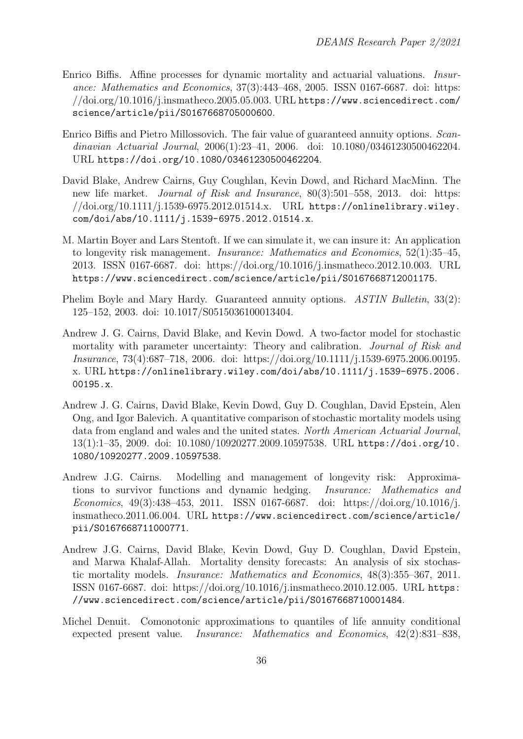- Enrico Biffis. Affine processes for dynamic mortality and actuarial valuations. Insurance: Mathematics and Economics, 37(3):443–468, 2005. ISSN 0167-6687. doi: https: //doi.org/10.1016/j.insmatheco.2005.05.003. URL https://www.sciencedirect.com/ science/article/pii/S0167668705000600.
- Enrico Biffis and Pietro Millossovich. The fair value of guaranteed annuity options. Scandinavian Actuarial Journal, 2006(1):23–41, 2006. doi: 10.1080/03461230500462204. URL https://doi.org/10.1080/03461230500462204.
- David Blake, Andrew Cairns, Guy Coughlan, Kevin Dowd, and Richard MacMinn. The new life market. Journal of Risk and Insurance, 80(3):501–558, 2013. doi: https: //doi.org/10.1111/j.1539-6975.2012.01514.x. URL https://onlinelibrary.wiley. com/doi/abs/10.1111/j.1539-6975.2012.01514.x.
- M. Martin Boyer and Lars Stentoft. If we can simulate it, we can insure it: An application to longevity risk management. Insurance: Mathematics and Economics, 52(1):35–45, 2013. ISSN 0167-6687. doi: https://doi.org/10.1016/j.insmatheco.2012.10.003. URL https://www.sciencedirect.com/science/article/pii/S0167668712001175.
- Phelim Boyle and Mary Hardy. Guaranteed annuity options. ASTIN Bulletin, 33(2): 125–152, 2003. doi: 10.1017/S0515036100013404.
- Andrew J. G. Cairns, David Blake, and Kevin Dowd. A two-factor model for stochastic mortality with parameter uncertainty: Theory and calibration. Journal of Risk and Insurance, 73(4):687–718, 2006. doi: https://doi.org/10.1111/j.1539-6975.2006.00195. x. URL https://onlinelibrary.wiley.com/doi/abs/10.1111/j.1539-6975.2006. 00195.x.
- Andrew J. G. Cairns, David Blake, Kevin Dowd, Guy D. Coughlan, David Epstein, Alen Ong, and Igor Balevich. A quantitative comparison of stochastic mortality models using data from england and wales and the united states. North American Actuarial Journal, 13(1):1–35, 2009. doi: 10.1080/10920277.2009.10597538. URL https://doi.org/10. 1080/10920277.2009.10597538.
- Andrew J.G. Cairns. Modelling and management of longevity risk: Approximations to survivor functions and dynamic hedging. Insurance: Mathematics and Economics, 49(3):438–453, 2011. ISSN 0167-6687. doi: https://doi.org/10.1016/j. insmatheco.2011.06.004. URL https://www.sciencedirect.com/science/article/ pii/S0167668711000771.
- Andrew J.G. Cairns, David Blake, Kevin Dowd, Guy D. Coughlan, David Epstein, and Marwa Khalaf-Allah. Mortality density forecasts: An analysis of six stochastic mortality models. Insurance: Mathematics and Economics, 48(3):355–367, 2011. ISSN 0167-6687. doi: https://doi.org/10.1016/j.insmatheco.2010.12.005. URL https: //www.sciencedirect.com/science/article/pii/S0167668710001484.
- Michel Denuit. Comonotonic approximations to quantiles of life annuity conditional expected present value. Insurance: Mathematics and Economics, 42(2):831–838,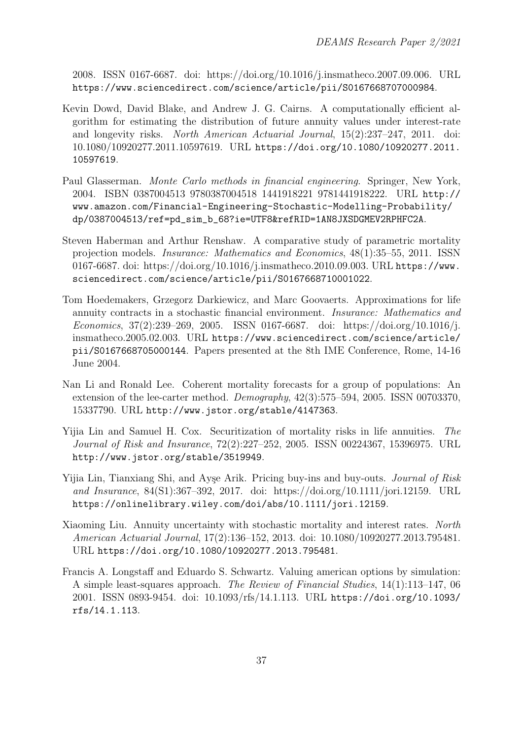2008. ISSN 0167-6687. doi: https://doi.org/10.1016/j.insmatheco.2007.09.006. URL https://www.sciencedirect.com/science/article/pii/S0167668707000984.

- Kevin Dowd, David Blake, and Andrew J. G. Cairns. A computationally efficient algorithm for estimating the distribution of future annuity values under interest-rate and longevity risks. North American Actuarial Journal, 15(2):237–247, 2011. doi: 10.1080/10920277.2011.10597619. URL https://doi.org/10.1080/10920277.2011. 10597619.
- Paul Glasserman. Monte Carlo methods in financial engineering. Springer, New York, 2004. ISBN 0387004513 9780387004518 1441918221 9781441918222. URL http:// www.amazon.com/Financial-Engineering-Stochastic-Modelling-Probability/ dp/0387004513/ref=pd\_sim\_b\_68?ie=UTF8&refRID=1AN8JXSDGMEV2RPHFC2A.
- Steven Haberman and Arthur Renshaw. A comparative study of parametric mortality projection models. Insurance: Mathematics and Economics, 48(1):35–55, 2011. ISSN 0167-6687. doi: https://doi.org/10.1016/j.insmatheco.2010.09.003. URL https://www. sciencedirect.com/science/article/pii/S0167668710001022.
- Tom Hoedemakers, Grzegorz Darkiewicz, and Marc Goovaerts. Approximations for life annuity contracts in a stochastic financial environment. Insurance: Mathematics and Economics, 37(2):239–269, 2005. ISSN 0167-6687. doi: https://doi.org/10.1016/j. insmatheco.2005.02.003. URL https://www.sciencedirect.com/science/article/ pii/S0167668705000144. Papers presented at the 8th IME Conference, Rome, 14-16 June 2004.
- Nan Li and Ronald Lee. Coherent mortality forecasts for a group of populations: An extension of the lee-carter method. Demography, 42(3):575–594, 2005. ISSN 00703370, 15337790. URL http://www.jstor.org/stable/4147363.
- Yijia Lin and Samuel H. Cox. Securitization of mortality risks in life annuities. The Journal of Risk and Insurance, 72(2):227–252, 2005. ISSN 00224367, 15396975. URL http://www.jstor.org/stable/3519949.
- Yijia Lin, Tianxiang Shi, and Ayşe Arik. Pricing buy-ins and buy-outs. Journal of Risk and Insurance, 84(S1):367–392, 2017. doi: https://doi.org/10.1111/jori.12159. URL https://onlinelibrary.wiley.com/doi/abs/10.1111/jori.12159.
- Xiaoming Liu. Annuity uncertainty with stochastic mortality and interest rates. North American Actuarial Journal, 17(2):136–152, 2013. doi: 10.1080/10920277.2013.795481. URL https://doi.org/10.1080/10920277.2013.795481.
- Francis A. Longstaff and Eduardo S. Schwartz. Valuing american options by simulation: A simple least-squares approach. The Review of Financial Studies, 14(1):113–147, 06 2001. ISSN 0893-9454. doi: 10.1093/rfs/14.1.113. URL https://doi.org/10.1093/ rfs/14.1.113.